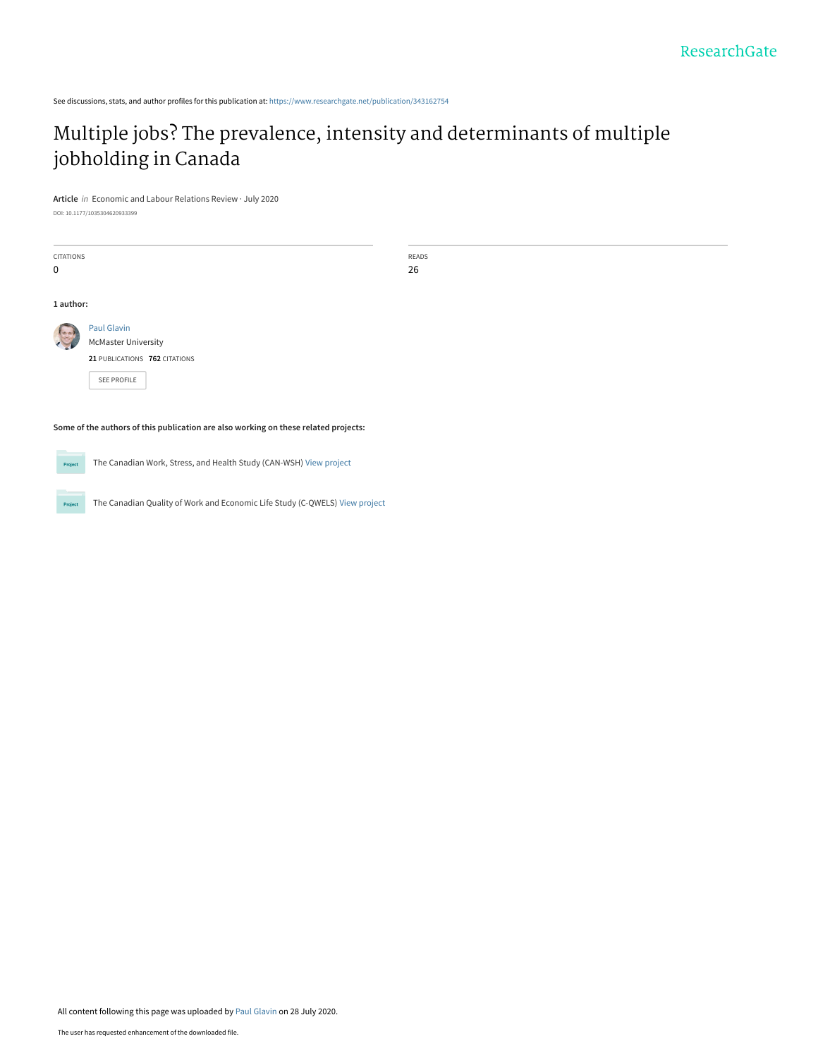See discussions, stats, and author profiles for this publication at: [https://www.researchgate.net/publication/343162754](https://www.researchgate.net/publication/343162754_Multiple_jobs_The_prevalence_intensity_and_determinants_of_multiple_jobholding_in_Canada?enrichId=rgreq-12fb2b7bee8561b05330120b377a2853-XXX&enrichSource=Y292ZXJQYWdlOzM0MzE2Mjc1NDtBUzo5MTgzMzkyMjQzMzg0MzJAMTU5NTk2MDU0MTEyMg%3D%3D&el=1_x_2&_esc=publicationCoverPdf)

# [Multiple jobs? The prevalence, intensity and determinants of multiple](https://www.researchgate.net/publication/343162754_Multiple_jobs_The_prevalence_intensity_and_determinants_of_multiple_jobholding_in_Canada?enrichId=rgreq-12fb2b7bee8561b05330120b377a2853-XXX&enrichSource=Y292ZXJQYWdlOzM0MzE2Mjc1NDtBUzo5MTgzMzkyMjQzMzg0MzJAMTU5NTk2MDU0MTEyMg%3D%3D&el=1_x_3&_esc=publicationCoverPdf) jobholding in Canada

**Article** in Economic and Labour Relations Review · July 2020

DOI: 10.1177/1035304620933399

| <b>CITATIONS</b>                                                                    |                                                                    | READS |  |  |  |
|-------------------------------------------------------------------------------------|--------------------------------------------------------------------|-------|--|--|--|
| 0                                                                                   |                                                                    | 26    |  |  |  |
|                                                                                     |                                                                    |       |  |  |  |
| 1 author:                                                                           |                                                                    |       |  |  |  |
|                                                                                     | <b>Paul Glavin</b>                                                 |       |  |  |  |
|                                                                                     | <b>McMaster University</b>                                         |       |  |  |  |
|                                                                                     | 21 PUBLICATIONS 762 CITATIONS                                      |       |  |  |  |
|                                                                                     | SEE PROFILE                                                        |       |  |  |  |
|                                                                                     |                                                                    |       |  |  |  |
| Some of the authors of this publication are also working on these related projects: |                                                                    |       |  |  |  |
| Project                                                                             | The Canadian Work, Stress, and Health Study (CAN-WSH) View project |       |  |  |  |

The Canadian Quality of Work and Economic Life Study (C-QWELS) [View project](https://www.researchgate.net/project/The-Canadian-Quality-of-Work-and-Economic-Life-Study-C-QWELS?enrichId=rgreq-12fb2b7bee8561b05330120b377a2853-XXX&enrichSource=Y292ZXJQYWdlOzM0MzE2Mjc1NDtBUzo5MTgzMzkyMjQzMzg0MzJAMTU5NTk2MDU0MTEyMg%3D%3D&el=1_x_9&_esc=publicationCoverPdf) Project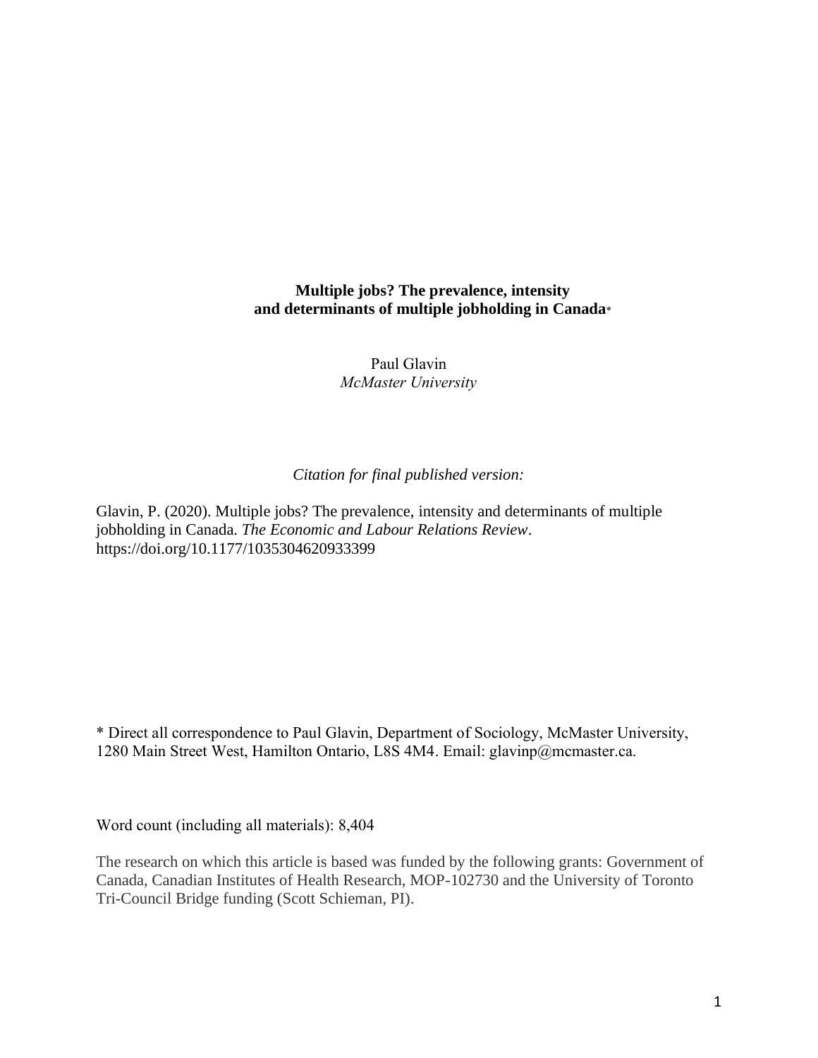# **Multiple jobs? The prevalence, intensity and determinants of multiple jobholding in Canada**\*

Paul Glavin *McMaster University*

# *Citation for final published version:*

Glavin, P. (2020). Multiple jobs? The prevalence, intensity and determinants of multiple jobholding in Canada. *The Economic and Labour Relations Review*. https://doi.org/10.1177/1035304620933399

\* Direct all correspondence to Paul Glavin, Department of Sociology, McMaster University, 1280 Main Street West, Hamilton Ontario, L8S 4M4. Email: glavinp@mcmaster.ca.

Word count (including all materials): 8,404

The research on which this article is based was funded by the following grants: Government of Canada, Canadian Institutes of Health Research, MOP-102730 and the University of Toronto Tri-Council Bridge funding (Scott Schieman, PI).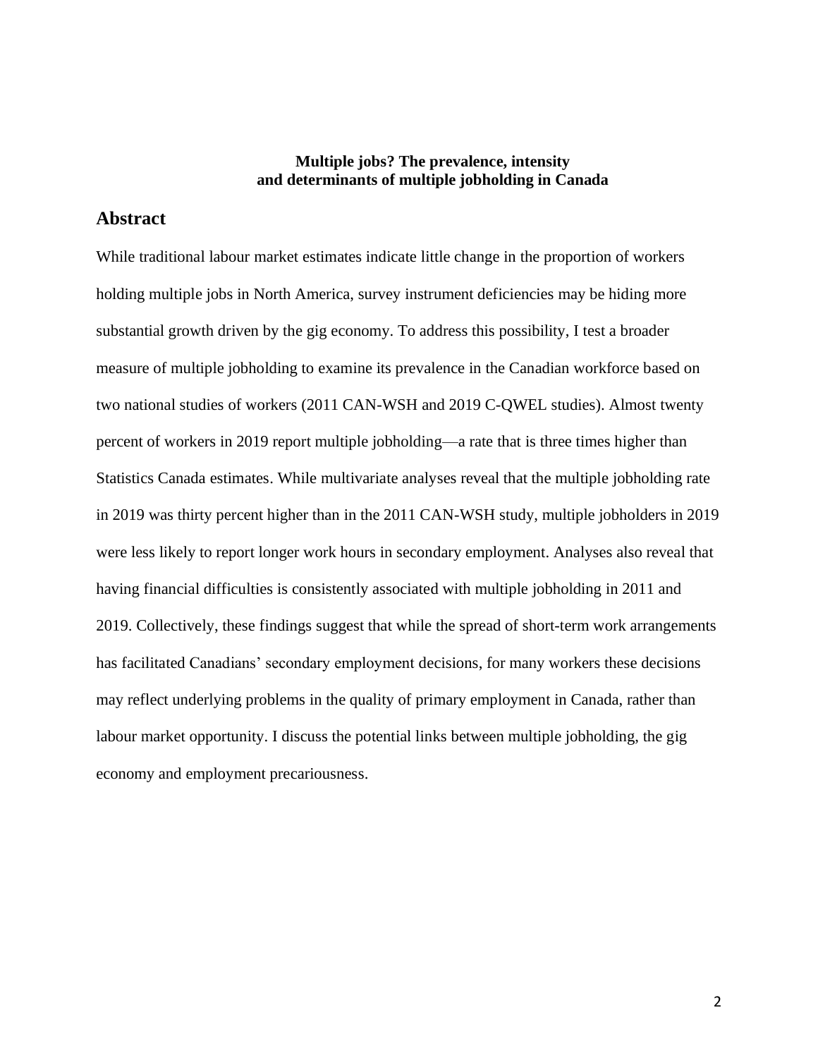# **Multiple jobs? The prevalence, intensity and determinants of multiple jobholding in Canada**

# **Abstract**

While traditional labour market estimates indicate little change in the proportion of workers holding multiple jobs in North America, survey instrument deficiencies may be hiding more substantial growth driven by the gig economy. To address this possibility, I test a broader measure of multiple jobholding to examine its prevalence in the Canadian workforce based on two national studies of workers (2011 CAN-WSH and 2019 C-QWEL studies). Almost twenty percent of workers in 2019 report multiple jobholding—a rate that is three times higher than Statistics Canada estimates. While multivariate analyses reveal that the multiple jobholding rate in 2019 was thirty percent higher than in the 2011 CAN-WSH study, multiple jobholders in 2019 were less likely to report longer work hours in secondary employment. Analyses also reveal that having financial difficulties is consistently associated with multiple jobholding in 2011 and 2019. Collectively, these findings suggest that while the spread of short-term work arrangements has facilitated Canadians' secondary employment decisions, for many workers these decisions may reflect underlying problems in the quality of primary employment in Canada, rather than labour market opportunity. I discuss the potential links between multiple jobholding, the gig economy and employment precariousness.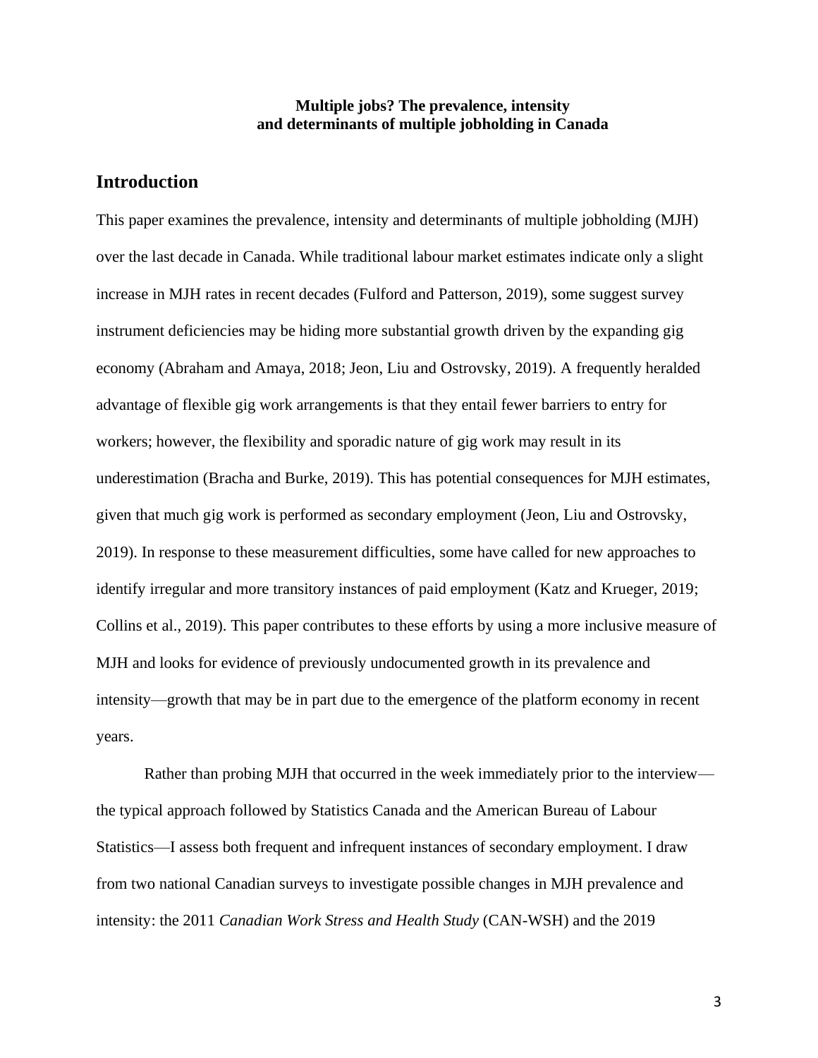## **Multiple jobs? The prevalence, intensity and determinants of multiple jobholding in Canada**

# **Introduction**

This paper examines the prevalence, intensity and determinants of multiple jobholding (MJH) over the last decade in Canada. While traditional labour market estimates indicate only a slight increase in MJH rates in recent decades (Fulford and Patterson, 2019), some suggest survey instrument deficiencies may be hiding more substantial growth driven by the expanding gig economy (Abraham and Amaya, 2018; Jeon, Liu and Ostrovsky, 2019). A frequently heralded advantage of flexible gig work arrangements is that they entail fewer barriers to entry for workers; however, the flexibility and sporadic nature of gig work may result in its underestimation (Bracha and Burke, 2019). This has potential consequences for MJH estimates, given that much gig work is performed as secondary employment (Jeon, Liu and Ostrovsky, 2019). In response to these measurement difficulties, some have called for new approaches to identify irregular and more transitory instances of paid employment (Katz and Krueger, 2019; Collins et al., 2019). This paper contributes to these efforts by using a more inclusive measure of MJH and looks for evidence of previously undocumented growth in its prevalence and intensity—growth that may be in part due to the emergence of the platform economy in recent years.

Rather than probing MJH that occurred in the week immediately prior to the interview the typical approach followed by Statistics Canada and the American Bureau of Labour Statistics—I assess both frequent and infrequent instances of secondary employment. I draw from two national Canadian surveys to investigate possible changes in MJH prevalence and intensity: the 2011 *Canadian Work Stress and Health Study* (CAN-WSH) and the 2019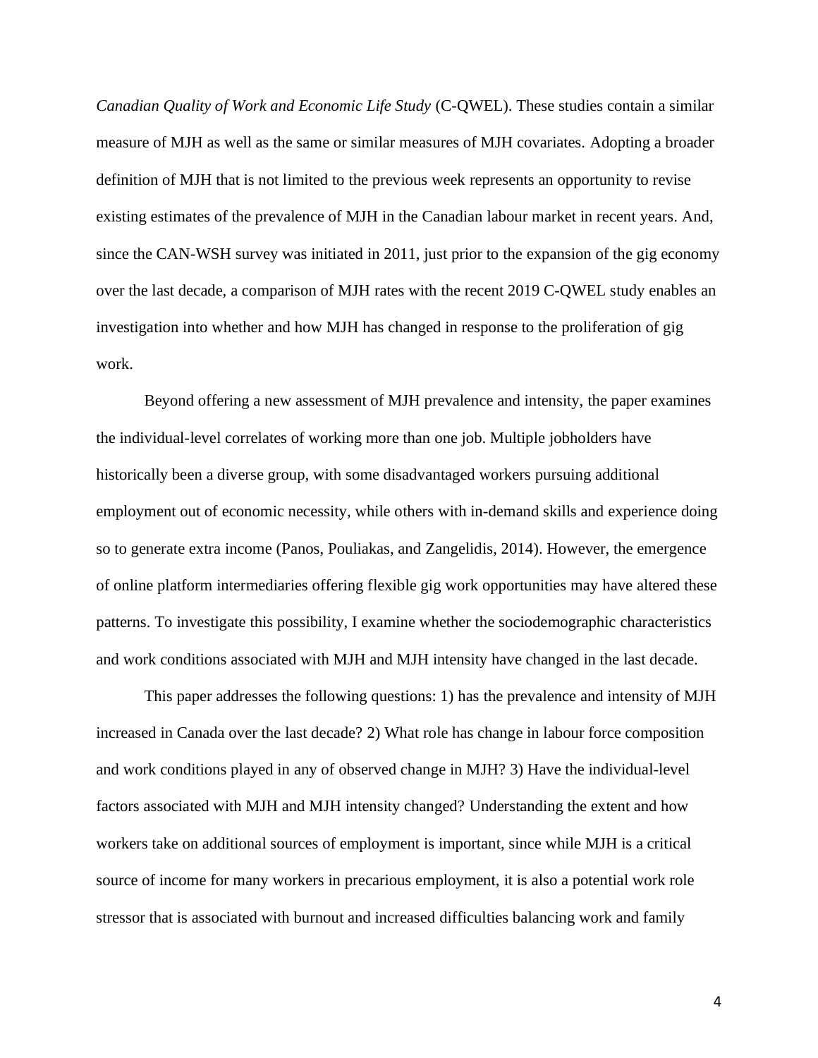*Canadian Quality of Work and Economic Life Study* (C-QWEL). These studies contain a similar measure of MJH as well as the same or similar measures of MJH covariates. Adopting a broader definition of MJH that is not limited to the previous week represents an opportunity to revise existing estimates of the prevalence of MJH in the Canadian labour market in recent years. And, since the CAN-WSH survey was initiated in 2011, just prior to the expansion of the gig economy over the last decade, a comparison of MJH rates with the recent 2019 C-QWEL study enables an investigation into whether and how MJH has changed in response to the proliferation of gig work.

Beyond offering a new assessment of MJH prevalence and intensity, the paper examines the individual-level correlates of working more than one job. Multiple jobholders have historically been a diverse group, with some disadvantaged workers pursuing additional employment out of economic necessity, while others with in-demand skills and experience doing so to generate extra income (Panos, Pouliakas, and Zangelidis, 2014). However, the emergence of online platform intermediaries offering flexible gig work opportunities may have altered these patterns. To investigate this possibility, I examine whether the sociodemographic characteristics and work conditions associated with MJH and MJH intensity have changed in the last decade.

This paper addresses the following questions: 1) has the prevalence and intensity of MJH increased in Canada over the last decade? 2) What role has change in labour force composition and work conditions played in any of observed change in MJH? 3) Have the individual-level factors associated with MJH and MJH intensity changed? Understanding the extent and how workers take on additional sources of employment is important, since while MJH is a critical source of income for many workers in precarious employment, it is also a potential work role stressor that is associated with burnout and increased difficulties balancing work and family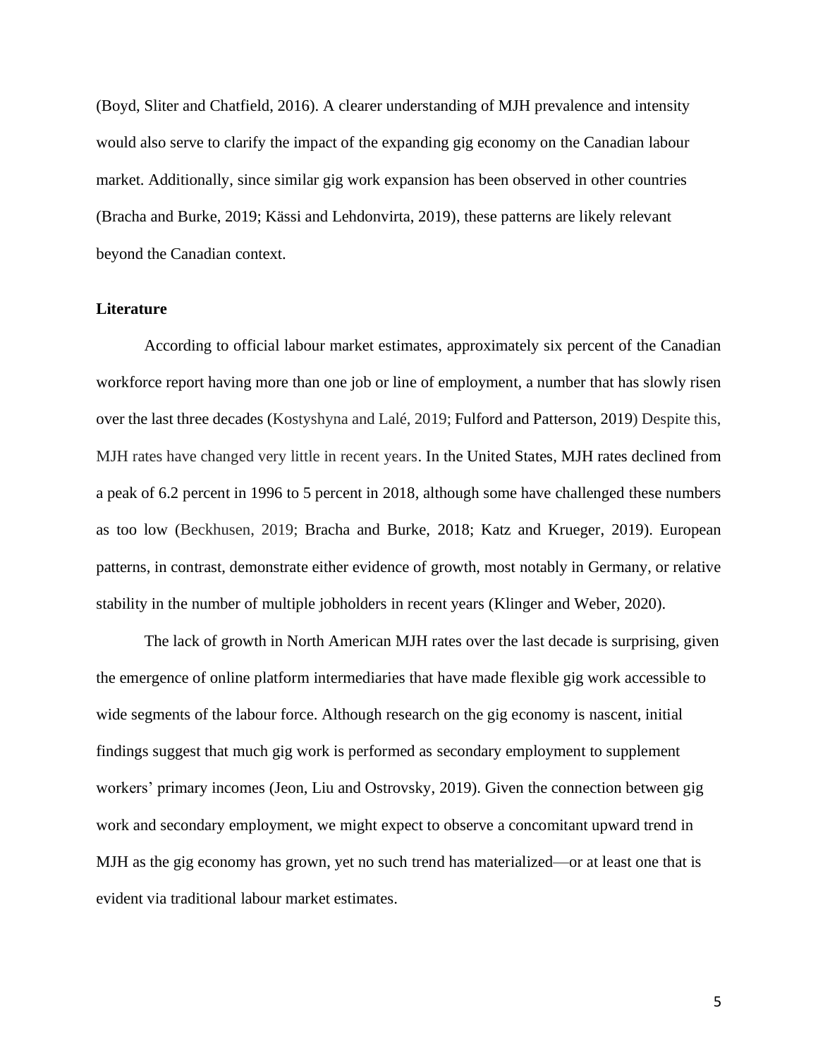(Boyd, Sliter and Chatfield, 2016). A clearer understanding of MJH prevalence and intensity would also serve to clarify the impact of the expanding gig economy on the Canadian labour market. Additionally, since similar gig work expansion has been observed in other countries (Bracha and Burke, 2019; Kässi and Lehdonvirta, 2019), these patterns are likely relevant beyond the Canadian context.

# **Literature**

According to official labour market estimates, approximately six percent of the Canadian workforce report having more than one job or line of employment, a number that has slowly risen over the last three decades (Kostyshyna and Lalé, 2019; Fulford and Patterson, 2019) Despite this, MJH rates have changed very little in recent years. In the United States, MJH rates declined from a peak of 6.2 percent in 1996 to 5 percent in 2018, although some have challenged these numbers as too low (Beckhusen, 2019; Bracha and Burke, 2018; Katz and Krueger, 2019). European patterns, in contrast, demonstrate either evidence of growth, most notably in Germany, or relative stability in the number of multiple jobholders in recent years (Klinger and Weber, 2020).

The lack of growth in North American MJH rates over the last decade is surprising, given the emergence of online platform intermediaries that have made flexible gig work accessible to wide segments of the labour force. Although research on the gig economy is nascent, initial findings suggest that much gig work is performed as secondary employment to supplement workers' primary incomes (Jeon, Liu and Ostrovsky, 2019). Given the connection between gig work and secondary employment, we might expect to observe a concomitant upward trend in MJH as the gig economy has grown, yet no such trend has materialized—or at least one that is evident via traditional labour market estimates.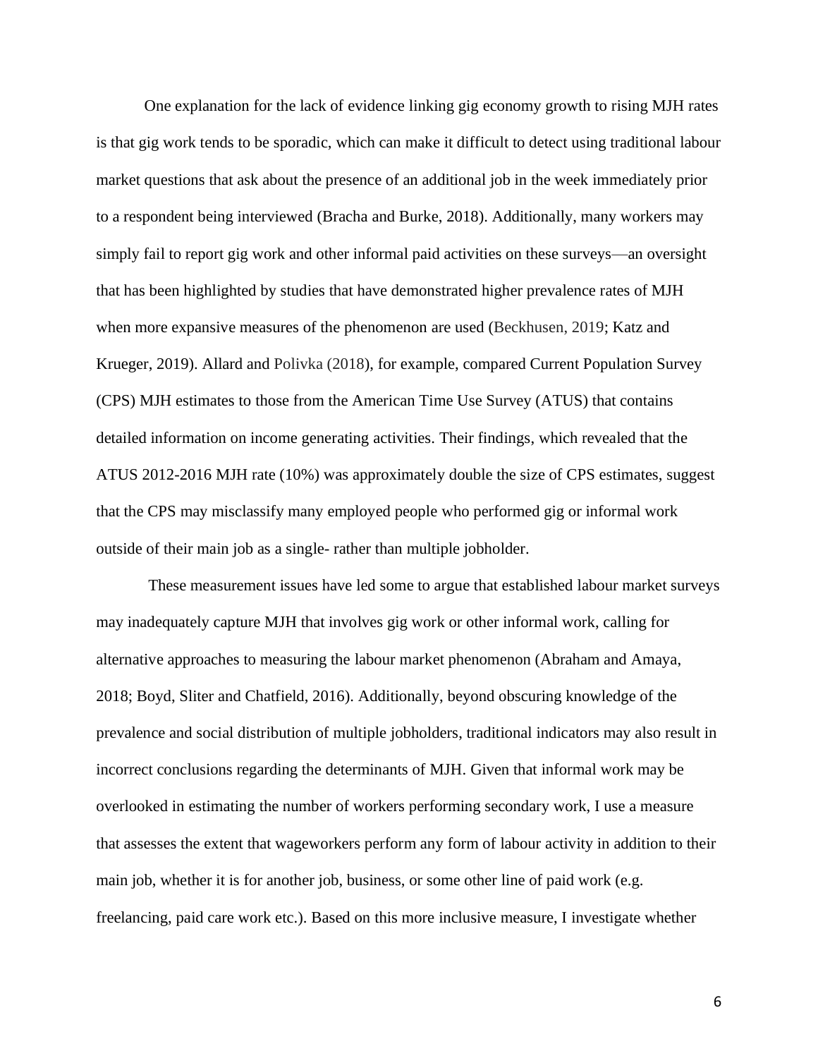One explanation for the lack of evidence linking gig economy growth to rising MJH rates is that gig work tends to be sporadic, which can make it difficult to detect using traditional labour market questions that ask about the presence of an additional job in the week immediately prior to a respondent being interviewed (Bracha and Burke, 2018). Additionally, many workers may simply fail to report gig work and other informal paid activities on these surveys—an oversight that has been highlighted by studies that have demonstrated higher prevalence rates of MJH when more expansive measures of the phenomenon are used (Beckhusen, 2019; Katz and Krueger, 2019). Allard and Polivka (2018), for example, compared Current Population Survey (CPS) MJH estimates to those from the American Time Use Survey (ATUS) that contains detailed information on income generating activities. Their findings, which revealed that the ATUS 2012-2016 MJH rate (10%) was approximately double the size of CPS estimates, suggest that the CPS may misclassify many employed people who performed gig or informal work outside of their main job as a single- rather than multiple jobholder.

These measurement issues have led some to argue that established labour market surveys may inadequately capture MJH that involves gig work or other informal work, calling for alternative approaches to measuring the labour market phenomenon (Abraham and Amaya, 2018; Boyd, Sliter and Chatfield, 2016). Additionally, beyond obscuring knowledge of the prevalence and social distribution of multiple jobholders, traditional indicators may also result in incorrect conclusions regarding the determinants of MJH. Given that informal work may be overlooked in estimating the number of workers performing secondary work, I use a measure that assesses the extent that wageworkers perform any form of labour activity in addition to their main job, whether it is for another job, business, or some other line of paid work (e.g. freelancing, paid care work etc.). Based on this more inclusive measure, I investigate whether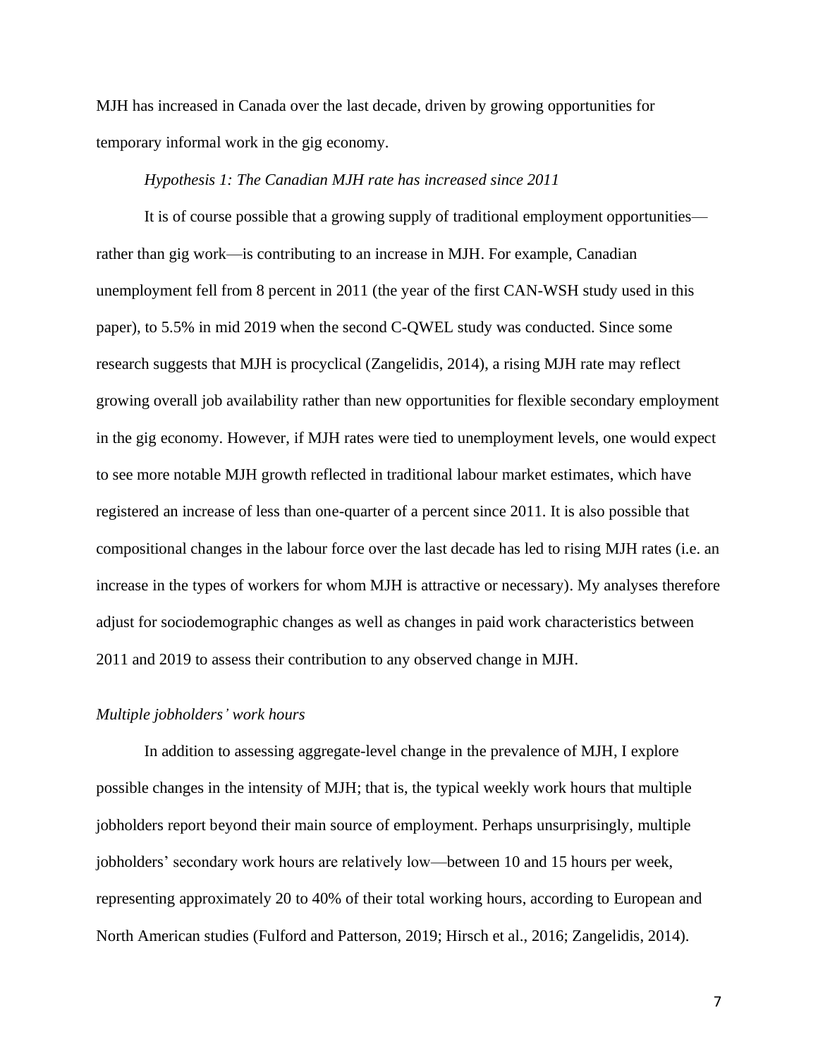MJH has increased in Canada over the last decade, driven by growing opportunities for temporary informal work in the gig economy.

#### *Hypothesis 1: The Canadian MJH rate has increased since 2011*

It is of course possible that a growing supply of traditional employment opportunities rather than gig work—is contributing to an increase in MJH. For example, Canadian unemployment fell from 8 percent in 2011 (the year of the first CAN-WSH study used in this paper), to 5.5% in mid 2019 when the second C-QWEL study was conducted. Since some research suggests that MJH is procyclical (Zangelidis, 2014), a rising MJH rate may reflect growing overall job availability rather than new opportunities for flexible secondary employment in the gig economy. However, if MJH rates were tied to unemployment levels, one would expect to see more notable MJH growth reflected in traditional labour market estimates, which have registered an increase of less than one-quarter of a percent since 2011. It is also possible that compositional changes in the labour force over the last decade has led to rising MJH rates (i.e. an increase in the types of workers for whom MJH is attractive or necessary). My analyses therefore adjust for sociodemographic changes as well as changes in paid work characteristics between 2011 and 2019 to assess their contribution to any observed change in MJH.

#### *Multiple jobholders' work hours*

In addition to assessing aggregate-level change in the prevalence of MJH, I explore possible changes in the intensity of MJH; that is, the typical weekly work hours that multiple jobholders report beyond their main source of employment. Perhaps unsurprisingly, multiple jobholders' secondary work hours are relatively low—between 10 and 15 hours per week, representing approximately 20 to 40% of their total working hours, according to European and North American studies (Fulford and Patterson, 2019; Hirsch et al., 2016; Zangelidis, 2014).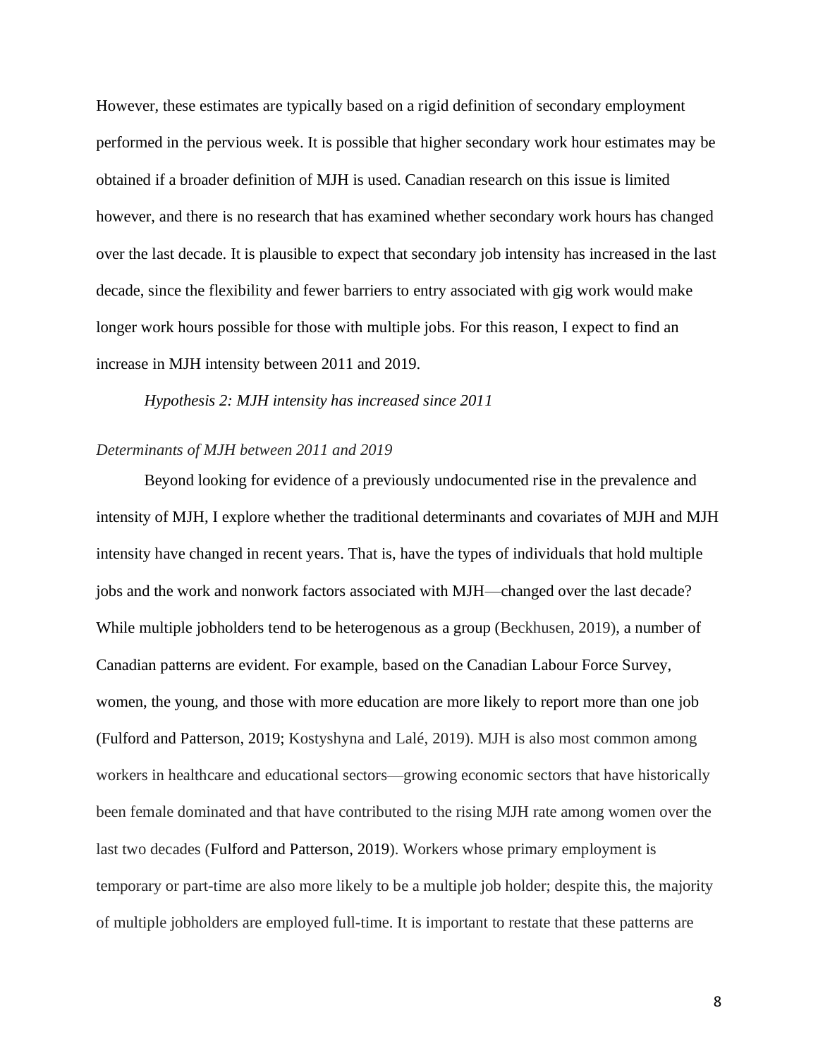However, these estimates are typically based on a rigid definition of secondary employment performed in the pervious week. It is possible that higher secondary work hour estimates may be obtained if a broader definition of MJH is used. Canadian research on this issue is limited however, and there is no research that has examined whether secondary work hours has changed over the last decade. It is plausible to expect that secondary job intensity has increased in the last decade, since the flexibility and fewer barriers to entry associated with gig work would make longer work hours possible for those with multiple jobs. For this reason, I expect to find an increase in MJH intensity between 2011 and 2019.

*Hypothesis 2: MJH intensity has increased since 2011*

## *Determinants of MJH between 2011 and 2019*

Beyond looking for evidence of a previously undocumented rise in the prevalence and intensity of MJH, I explore whether the traditional determinants and covariates of MJH and MJH intensity have changed in recent years. That is, have the types of individuals that hold multiple jobs and the work and nonwork factors associated with MJH—changed over the last decade? While multiple jobholders tend to be heterogenous as a group (Beckhusen, 2019), a number of Canadian patterns are evident. For example, based on the Canadian Labour Force Survey, women, the young, and those with more education are more likely to report more than one job (Fulford and Patterson, 2019; Kostyshyna and Lalé, 2019). MJH is also most common among workers in healthcare and educational sectors—growing economic sectors that have historically been female dominated and that have contributed to the rising MJH rate among women over the last two decades (Fulford and Patterson, 2019). Workers whose primary employment is temporary or part-time are also more likely to be a multiple job holder; despite this, the majority of multiple jobholders are employed full-time. It is important to restate that these patterns are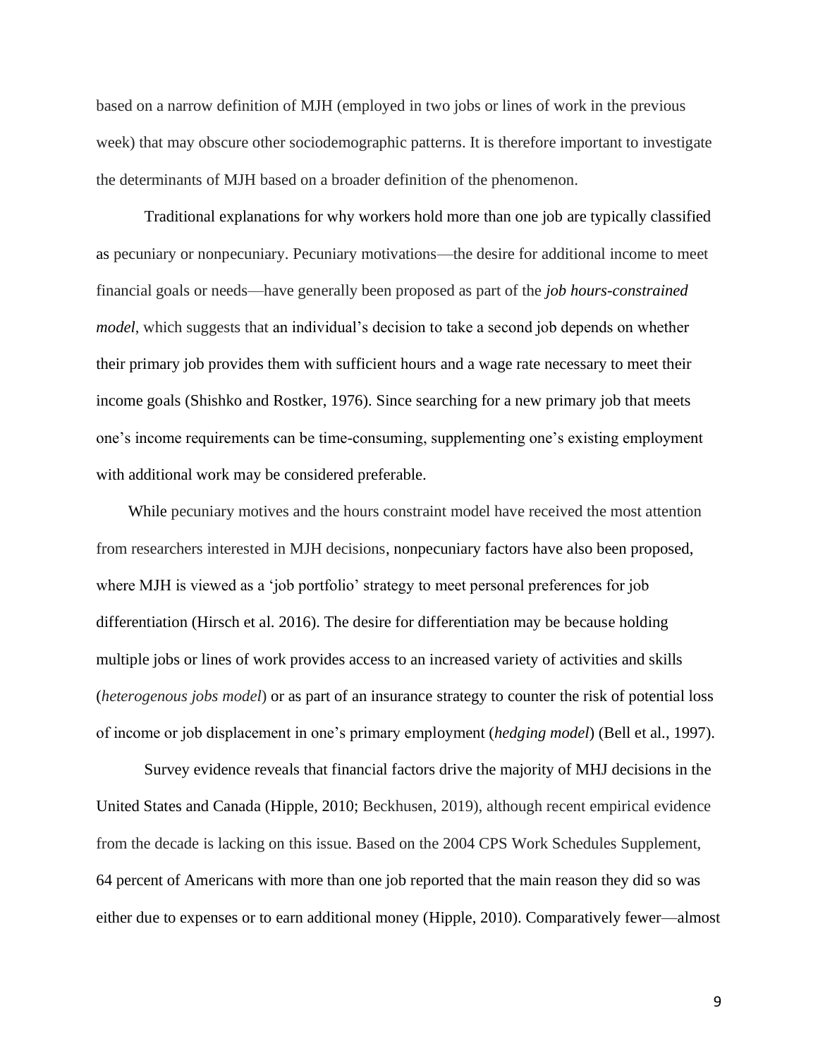based on a narrow definition of MJH (employed in two jobs or lines of work in the previous week) that may obscure other sociodemographic patterns. It is therefore important to investigate the determinants of MJH based on a broader definition of the phenomenon.

Traditional explanations for why workers hold more than one job are typically classified as pecuniary or nonpecuniary. Pecuniary motivations—the desire for additional income to meet financial goals or needs—have generally been proposed as part of the *job hours-constrained model*, which suggests that an individual's decision to take a second job depends on whether their primary job provides them with sufficient hours and a wage rate necessary to meet their income goals (Shishko and Rostker, 1976). Since searching for a new primary job that meets one's income requirements can be time-consuming, supplementing one's existing employment with additional work may be considered preferable.

 While pecuniary motives and the hours constraint model have received the most attention from researchers interested in MJH decisions, nonpecuniary factors have also been proposed, where MJH is viewed as a 'job portfolio' strategy to meet personal preferences for job differentiation (Hirsch et al. 2016). The desire for differentiation may be because holding multiple jobs or lines of work provides access to an increased variety of activities and skills (*heterogenous jobs model*) or as part of an insurance strategy to counter the risk of potential loss of income or job displacement in one's primary employment (*hedging model*) (Bell et al., 1997).

Survey evidence reveals that financial factors drive the majority of MHJ decisions in the United States and Canada (Hipple, 2010; Beckhusen, 2019), although recent empirical evidence from the decade is lacking on this issue. Based on the 2004 CPS Work Schedules Supplement, 64 percent of Americans with more than one job reported that the main reason they did so was either due to expenses or to earn additional money (Hipple, 2010). Comparatively fewer—almost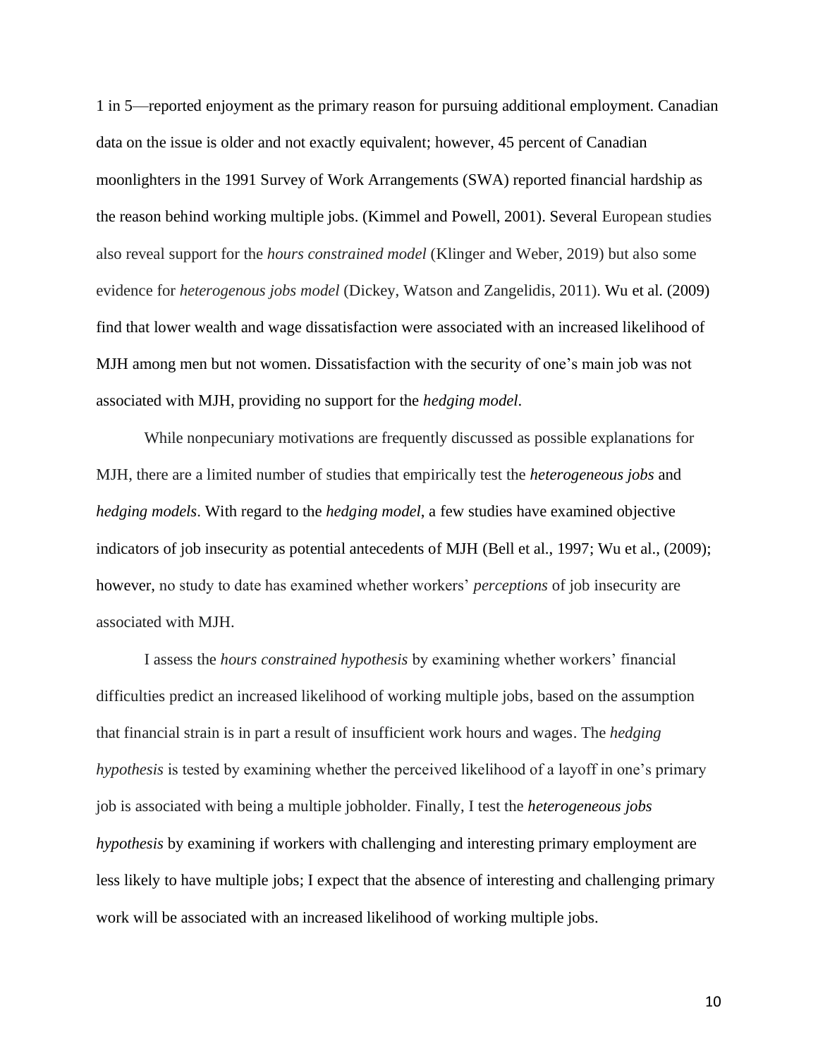1 in 5—reported enjoyment as the primary reason for pursuing additional employment. Canadian data on the issue is older and not exactly equivalent; however, 45 percent of Canadian moonlighters in the 1991 Survey of Work Arrangements (SWA) reported financial hardship as the reason behind working multiple jobs. (Kimmel and Powell, 2001). Several European studies also reveal support for the *hours constrained model* (Klinger and Weber, 2019) but also some evidence for *heterogenous jobs model* (Dickey, Watson and Zangelidis, 2011). Wu et al. (2009) find that lower wealth and wage dissatisfaction were associated with an increased likelihood of MJH among men but not women. Dissatisfaction with the security of one's main job was not associated with MJH, providing no support for the *hedging model*.

While nonpecuniary motivations are frequently discussed as possible explanations for MJH, there are a limited number of studies that empirically test the *heterogeneous jobs* and *hedging models*. With regard to the *hedging model*, a few studies have examined objective indicators of job insecurity as potential antecedents of MJH (Bell et al., 1997; Wu et al., (2009); however, no study to date has examined whether workers' *perceptions* of job insecurity are associated with MJH.

I assess the *hours constrained hypothesis* by examining whether workers' financial difficulties predict an increased likelihood of working multiple jobs, based on the assumption that financial strain is in part a result of insufficient work hours and wages. The *hedging hypothesis* is tested by examining whether the perceived likelihood of a layoff in one's primary job is associated with being a multiple jobholder. Finally, I test the *heterogeneous jobs hypothesis* by examining if workers with challenging and interesting primary employment are less likely to have multiple jobs; I expect that the absence of interesting and challenging primary work will be associated with an increased likelihood of working multiple jobs.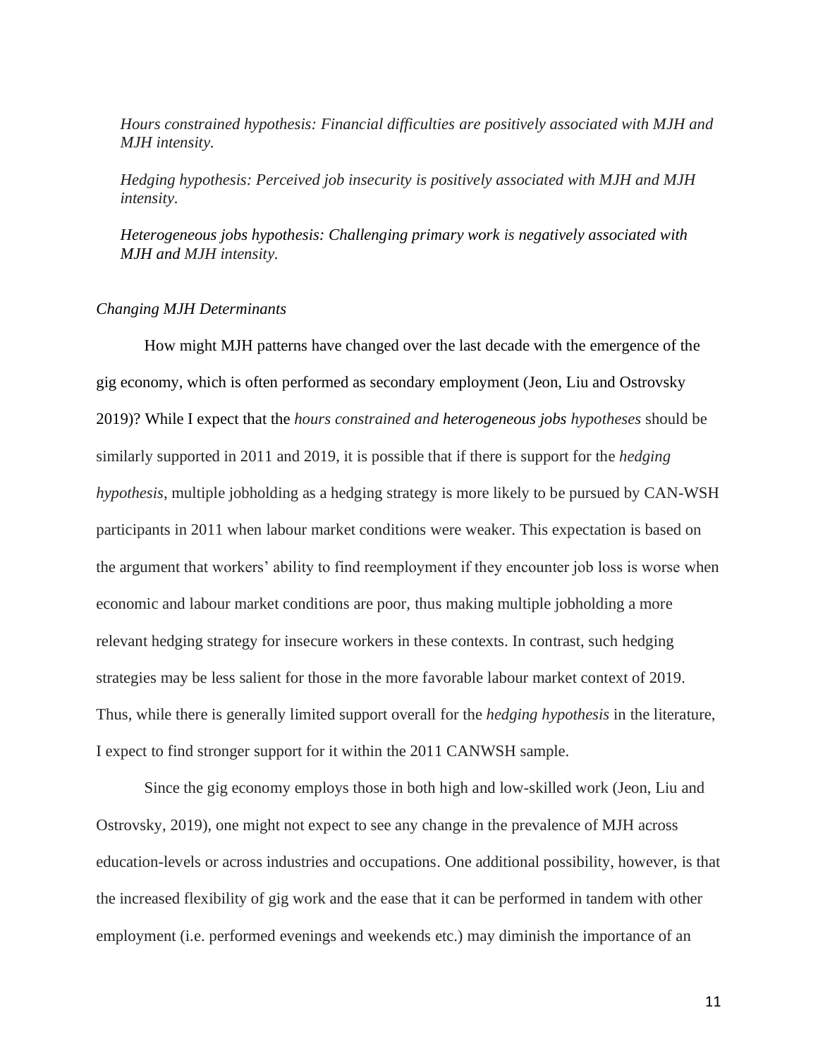*Hours constrained hypothesis: Financial difficulties are positively associated with MJH and MJH intensity.*

*Hedging hypothesis: Perceived job insecurity is positively associated with MJH and MJH intensity.*

*Heterogeneous jobs hypothesis: Challenging primary work is negatively associated with MJH and MJH intensity.*

## *Changing MJH Determinants*

How might MJH patterns have changed over the last decade with the emergence of the gig economy, which is often performed as secondary employment (Jeon, Liu and Ostrovsky 2019)? While I expect that the *hours constrained and heterogeneous jobs hypotheses* should be similarly supported in 2011 and 2019, it is possible that if there is support for the *hedging hypothesis*, multiple jobholding as a hedging strategy is more likely to be pursued by CAN-WSH participants in 2011 when labour market conditions were weaker. This expectation is based on the argument that workers' ability to find reemployment if they encounter job loss is worse when economic and labour market conditions are poor, thus making multiple jobholding a more relevant hedging strategy for insecure workers in these contexts. In contrast, such hedging strategies may be less salient for those in the more favorable labour market context of 2019. Thus, while there is generally limited support overall for the *hedging hypothesis* in the literature, I expect to find stronger support for it within the 2011 CANWSH sample.

Since the gig economy employs those in both high and low-skilled work (Jeon, Liu and Ostrovsky, 2019), one might not expect to see any change in the prevalence of MJH across education-levels or across industries and occupations. One additional possibility, however, is that the increased flexibility of gig work and the ease that it can be performed in tandem with other employment (i.e. performed evenings and weekends etc.) may diminish the importance of an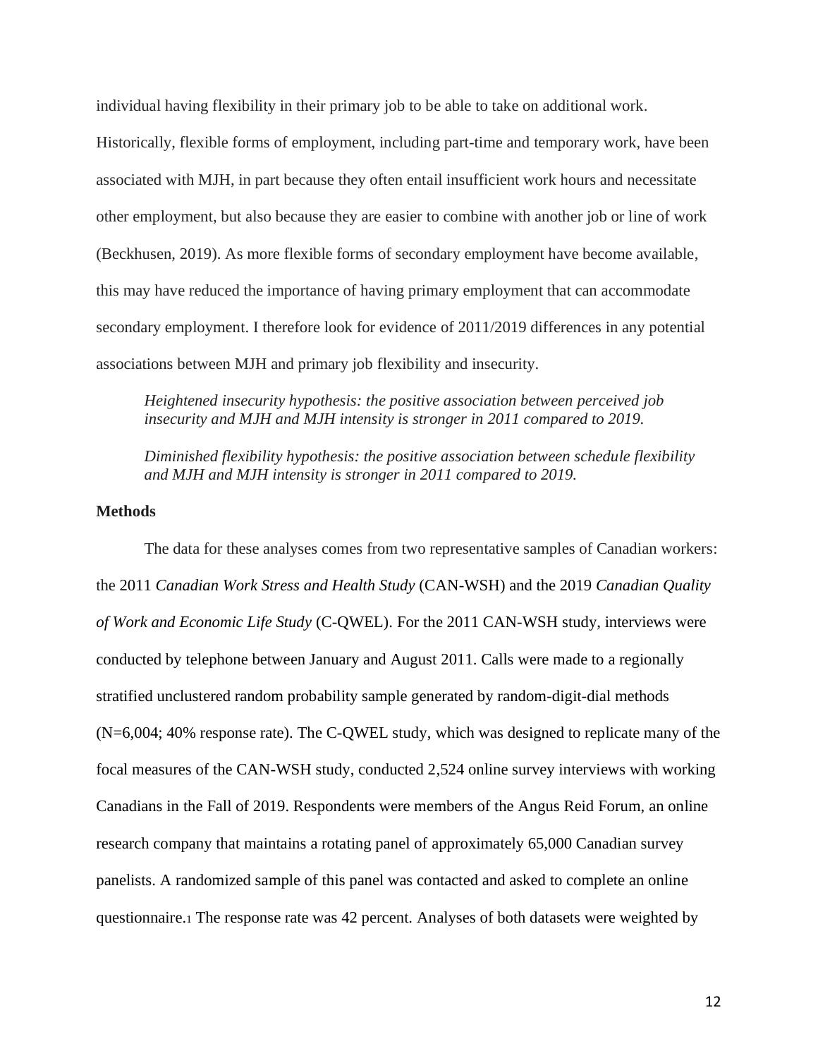individual having flexibility in their primary job to be able to take on additional work.

Historically, flexible forms of employment, including part-time and temporary work, have been associated with MJH, in part because they often entail insufficient work hours and necessitate other employment, but also because they are easier to combine with another job or line of work (Beckhusen, 2019). As more flexible forms of secondary employment have become available, this may have reduced the importance of having primary employment that can accommodate secondary employment. I therefore look for evidence of 2011/2019 differences in any potential associations between MJH and primary job flexibility and insecurity.

*Heightened insecurity hypothesis: the positive association between perceived job insecurity and MJH and MJH intensity is stronger in 2011 compared to 2019.* 

*Diminished flexibility hypothesis: the positive association between schedule flexibility and MJH and MJH intensity is stronger in 2011 compared to 2019.* 

#### **Methods**

The data for these analyses comes from two representative samples of Canadian workers: the 2011 *Canadian Work Stress and Health Study* (CAN-WSH) and the 2019 *Canadian Quality of Work and Economic Life Study* (C-QWEL). For the 2011 CAN-WSH study, interviews were conducted by telephone between January and August 2011. Calls were made to a regionally stratified unclustered random probability sample generated by random-digit-dial methods (N=6,004; 40% response rate). The C-QWEL study, which was designed to replicate many of the focal measures of the CAN-WSH study, conducted 2,524 online survey interviews with working Canadians in the Fall of 2019. Respondents were members of the Angus Reid Forum, an online research company that maintains a rotating panel of approximately 65,000 Canadian survey panelists. A randomized sample of this panel was contacted and asked to complete an online questionnaire.<sup>1</sup> The response rate was 42 percent. Analyses of both datasets were weighted by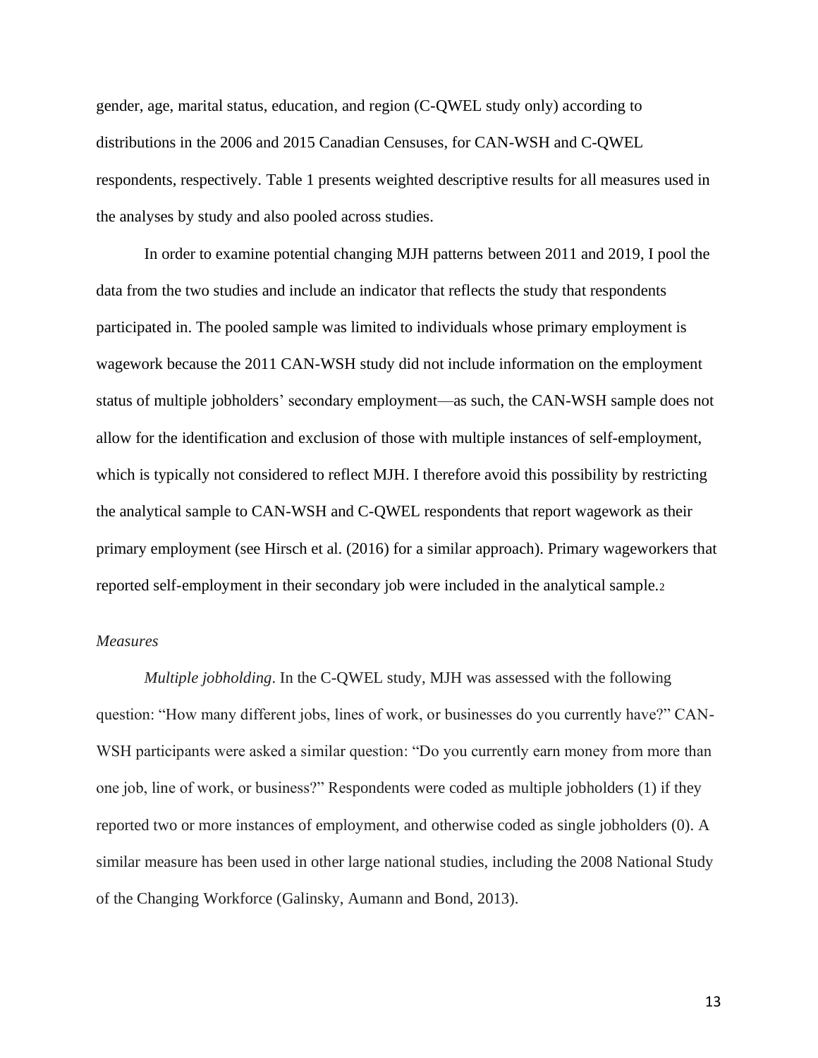gender, age, marital status, education, and region (C-QWEL study only) according to distributions in the 2006 and 2015 Canadian Censuses, for CAN-WSH and C-QWEL respondents, respectively. Table 1 presents weighted descriptive results for all measures used in the analyses by study and also pooled across studies.

In order to examine potential changing MJH patterns between 2011 and 2019, I pool the data from the two studies and include an indicator that reflects the study that respondents participated in. The pooled sample was limited to individuals whose primary employment is wagework because the 2011 CAN-WSH study did not include information on the employment status of multiple jobholders' secondary employment—as such, the CAN-WSH sample does not allow for the identification and exclusion of those with multiple instances of self-employment, which is typically not considered to reflect MJH. I therefore avoid this possibility by restricting the analytical sample to CAN-WSH and C-QWEL respondents that report wagework as their primary employment (see Hirsch et al. (2016) for a similar approach). Primary wageworkers that reported self-employment in their secondary job were included in the analytical sample.<sup>2</sup>

## *Measures*

*Multiple jobholding*. In the C-QWEL study, MJH was assessed with the following question: "How many different jobs, lines of work, or businesses do you currently have?" CAN-WSH participants were asked a similar question: "Do you currently earn money from more than one job, line of work, or business?" Respondents were coded as multiple jobholders (1) if they reported two or more instances of employment, and otherwise coded as single jobholders (0). A similar measure has been used in other large national studies, including the 2008 National Study of the Changing Workforce (Galinsky, Aumann and Bond, 2013).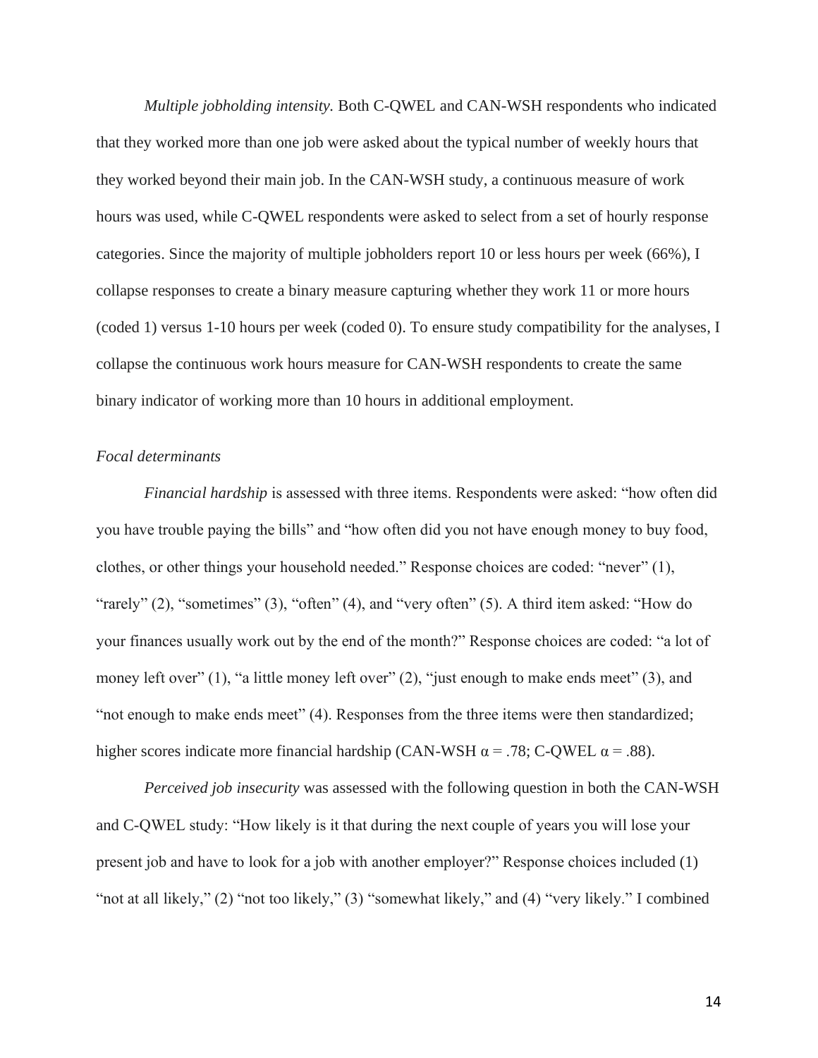*Multiple jobholding intensity.* Both C-QWEL and CAN-WSH respondents who indicated that they worked more than one job were asked about the typical number of weekly hours that they worked beyond their main job. In the CAN-WSH study, a continuous measure of work hours was used, while C-QWEL respondents were asked to select from a set of hourly response categories. Since the majority of multiple jobholders report 10 or less hours per week (66%), I collapse responses to create a binary measure capturing whether they work 11 or more hours (coded 1) versus 1-10 hours per week (coded 0). To ensure study compatibility for the analyses, I collapse the continuous work hours measure for CAN-WSH respondents to create the same binary indicator of working more than 10 hours in additional employment.

## *Focal determinants*

*Financial hardship* is assessed with three items. Respondents were asked: "how often did you have trouble paying the bills" and "how often did you not have enough money to buy food, clothes, or other things your household needed." Response choices are coded: "never" (1), "rarely" (2), "sometimes" (3), "often" (4), and "very often" (5). A third item asked: "How do your finances usually work out by the end of the month?" Response choices are coded: "a lot of money left over" (1), "a little money left over" (2), "just enough to make ends meet" (3), and "not enough to make ends meet" (4). Responses from the three items were then standardized; higher scores indicate more financial hardship (CAN-WSH  $\alpha$  = .78; C-QWEL  $\alpha$  = .88).

*Perceived job insecurity* was assessed with the following question in both the CAN-WSH and C-QWEL study: "How likely is it that during the next couple of years you will lose your present job and have to look for a job with another employer?" Response choices included (1) "not at all likely," (2) "not too likely," (3) "somewhat likely," and (4) "very likely." I combined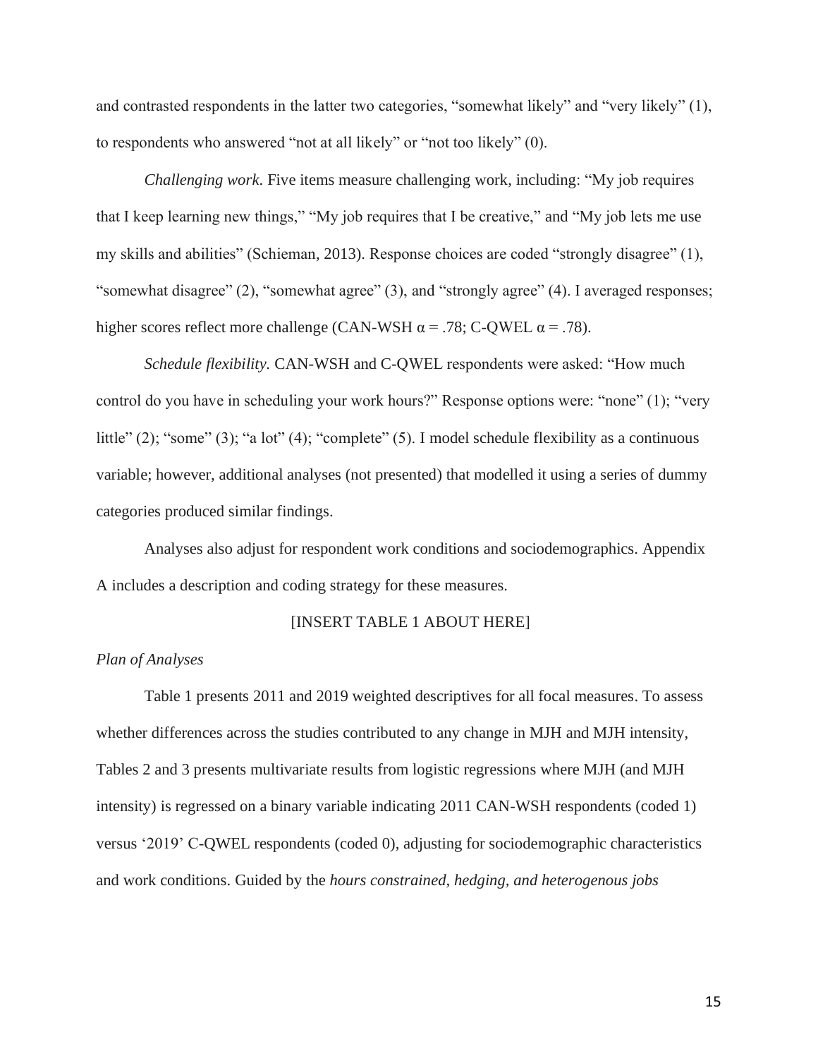and contrasted respondents in the latter two categories, "somewhat likely" and "very likely" (1), to respondents who answered "not at all likely" or "not too likely" (0).

*Challenging work*. Five items measure challenging work, including: "My job requires that I keep learning new things," "My job requires that I be creative," and "My job lets me use my skills and abilities" (Schieman, 2013). Response choices are coded "strongly disagree" (1), "somewhat disagree" (2), "somewhat agree" (3), and "strongly agree" (4). I averaged responses; higher scores reflect more challenge (CAN-WSH  $\alpha$  = .78; C-QWEL  $\alpha$  = .78).

*Schedule flexibility.* CAN-WSH and C-QWEL respondents were asked: "How much control do you have in scheduling your work hours?" Response options were: "none" (1); "very little" (2); "some" (3); "a lot" (4); "complete" (5). I model schedule flexibility as a continuous variable; however, additional analyses (not presented) that modelled it using a series of dummy categories produced similar findings.

Analyses also adjust for respondent work conditions and sociodemographics. Appendix A includes a description and coding strategy for these measures.

## [INSERT TABLE 1 ABOUT HERE]

#### *Plan of Analyses*

Table 1 presents 2011 and 2019 weighted descriptives for all focal measures. To assess whether differences across the studies contributed to any change in MJH and MJH intensity, Tables 2 and 3 presents multivariate results from logistic regressions where MJH (and MJH intensity) is regressed on a binary variable indicating 2011 CAN-WSH respondents (coded 1) versus '2019' C-QWEL respondents (coded 0), adjusting for sociodemographic characteristics and work conditions. Guided by the *hours constrained, hedging, and heterogenous jobs*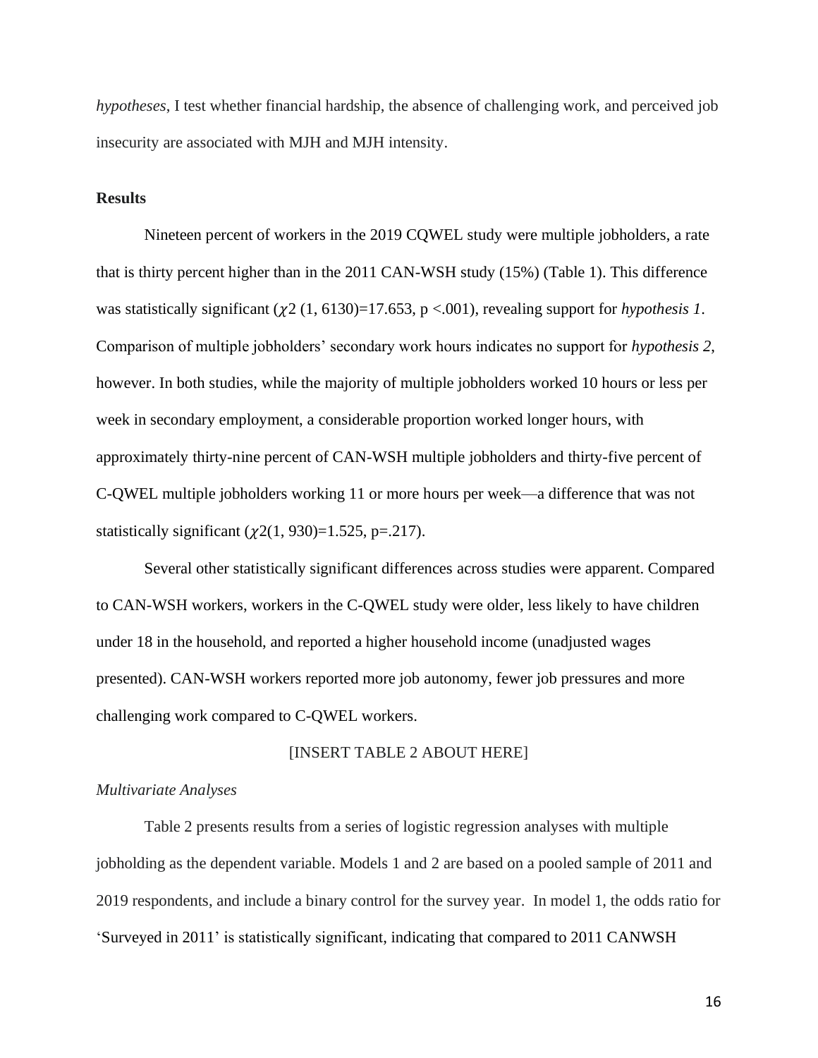*hypotheses*, I test whether financial hardship, the absence of challenging work, and perceived job insecurity are associated with MJH and MJH intensity.

## **Results**

Nineteen percent of workers in the 2019 CQWEL study were multiple jobholders, a rate that is thirty percent higher than in the 2011 CAN-WSH study (15%) (Table 1). This difference was statistically significant  $(\gamma 2 (1, 6130)=17.653, p < .001)$ , revealing support for *hypothesis 1*. Comparison of multiple jobholders' secondary work hours indicates no support for *hypothesis 2*, however. In both studies, while the majority of multiple jobholders worked 10 hours or less per week in secondary employment, a considerable proportion worked longer hours, with approximately thirty-nine percent of CAN-WSH multiple jobholders and thirty-five percent of C-QWEL multiple jobholders working 11 or more hours per week—a difference that was not statistically significant  $(\chi_2(1, 930)=1.525, p=.217)$ .

Several other statistically significant differences across studies were apparent. Compared to CAN-WSH workers, workers in the C-QWEL study were older, less likely to have children under 18 in the household, and reported a higher household income (unadjusted wages presented). CAN-WSH workers reported more job autonomy, fewer job pressures and more challenging work compared to C-QWEL workers.

## [INSERT TABLE 2 ABOUT HERE]

# *Multivariate Analyses*

Table 2 presents results from a series of logistic regression analyses with multiple jobholding as the dependent variable. Models 1 and 2 are based on a pooled sample of 2011 and 2019 respondents, and include a binary control for the survey year. In model 1, the odds ratio for 'Surveyed in 2011' is statistically significant, indicating that compared to 2011 CANWSH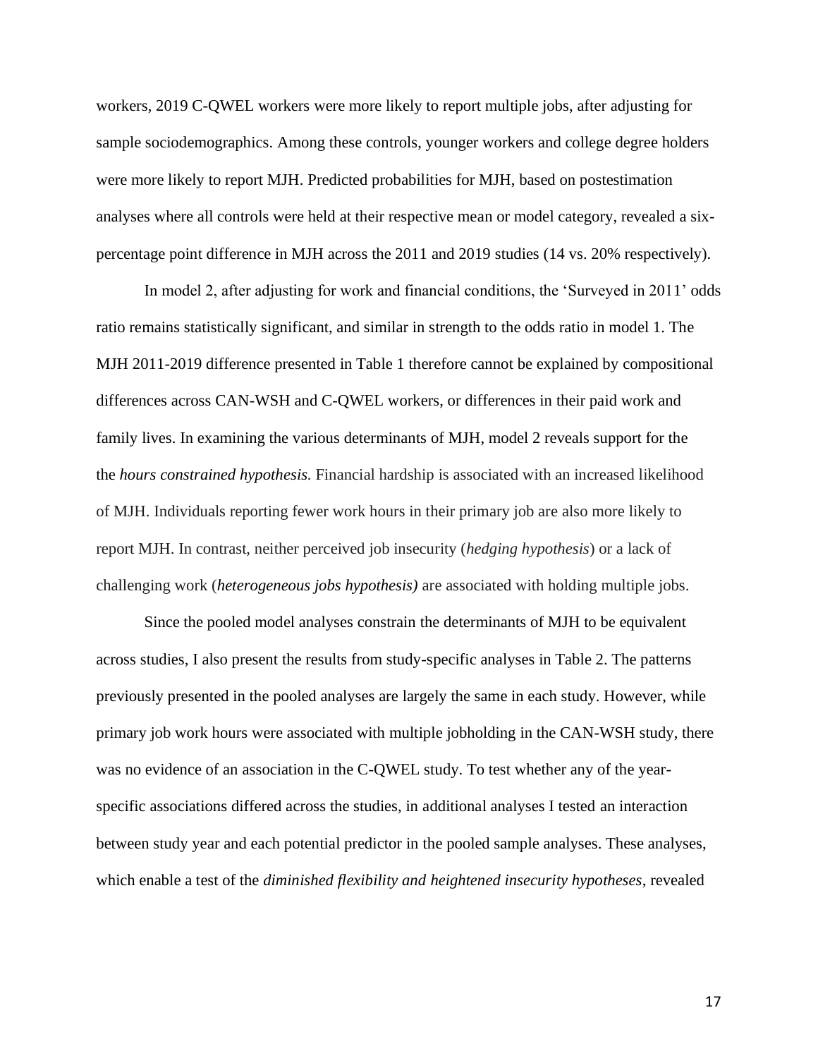workers, 2019 C-QWEL workers were more likely to report multiple jobs, after adjusting for sample sociodemographics. Among these controls, younger workers and college degree holders were more likely to report MJH. Predicted probabilities for MJH, based on postestimation analyses where all controls were held at their respective mean or model category, revealed a sixpercentage point difference in MJH across the 2011 and 2019 studies (14 vs. 20% respectively).

In model 2, after adjusting for work and financial conditions, the 'Surveyed in 2011' odds ratio remains statistically significant, and similar in strength to the odds ratio in model 1. The MJH 2011-2019 difference presented in Table 1 therefore cannot be explained by compositional differences across CAN-WSH and C-QWEL workers, or differences in their paid work and family lives. In examining the various determinants of MJH, model 2 reveals support for the the *hours constrained hypothesis.* Financial hardship is associated with an increased likelihood of MJH. Individuals reporting fewer work hours in their primary job are also more likely to report MJH. In contrast, neither perceived job insecurity (*hedging hypothesis*) or a lack of challenging work (*heterogeneous jobs hypothesis)* are associated with holding multiple jobs.

Since the pooled model analyses constrain the determinants of MJH to be equivalent across studies, I also present the results from study-specific analyses in Table 2. The patterns previously presented in the pooled analyses are largely the same in each study. However, while primary job work hours were associated with multiple jobholding in the CAN-WSH study, there was no evidence of an association in the C-QWEL study. To test whether any of the yearspecific associations differed across the studies, in additional analyses I tested an interaction between study year and each potential predictor in the pooled sample analyses. These analyses, which enable a test of the *diminished flexibility and heightened insecurity hypotheses*, revealed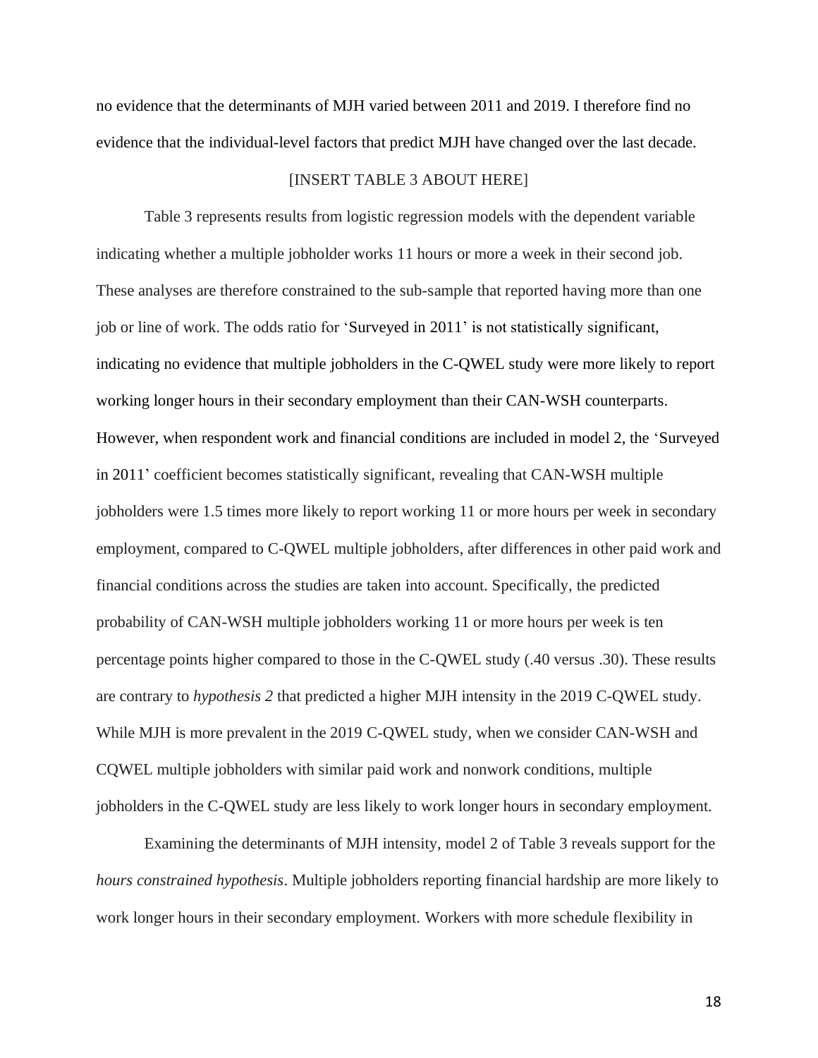no evidence that the determinants of MJH varied between 2011 and 2019. I therefore find no evidence that the individual-level factors that predict MJH have changed over the last decade.

## [INSERT TABLE 3 ABOUT HERE]

Table 3 represents results from logistic regression models with the dependent variable indicating whether a multiple jobholder works 11 hours or more a week in their second job. These analyses are therefore constrained to the sub-sample that reported having more than one job or line of work. The odds ratio for 'Surveyed in 2011' is not statistically significant, indicating no evidence that multiple jobholders in the C-QWEL study were more likely to report working longer hours in their secondary employment than their CAN-WSH counterparts. However, when respondent work and financial conditions are included in model 2, the 'Surveyed in 2011' coefficient becomes statistically significant, revealing that CAN-WSH multiple jobholders were 1.5 times more likely to report working 11 or more hours per week in secondary employment, compared to C-QWEL multiple jobholders, after differences in other paid work and financial conditions across the studies are taken into account. Specifically, the predicted probability of CAN-WSH multiple jobholders working 11 or more hours per week is ten percentage points higher compared to those in the C-QWEL study (.40 versus .30). These results are contrary to *hypothesis 2* that predicted a higher MJH intensity in the 2019 C-QWEL study. While MJH is more prevalent in the 2019 C-QWEL study, when we consider CAN-WSH and CQWEL multiple jobholders with similar paid work and nonwork conditions, multiple jobholders in the C-QWEL study are less likely to work longer hours in secondary employment.

Examining the determinants of MJH intensity, model 2 of Table 3 reveals support for the *hours constrained hypothesis*. Multiple jobholders reporting financial hardship are more likely to work longer hours in their secondary employment. Workers with more schedule flexibility in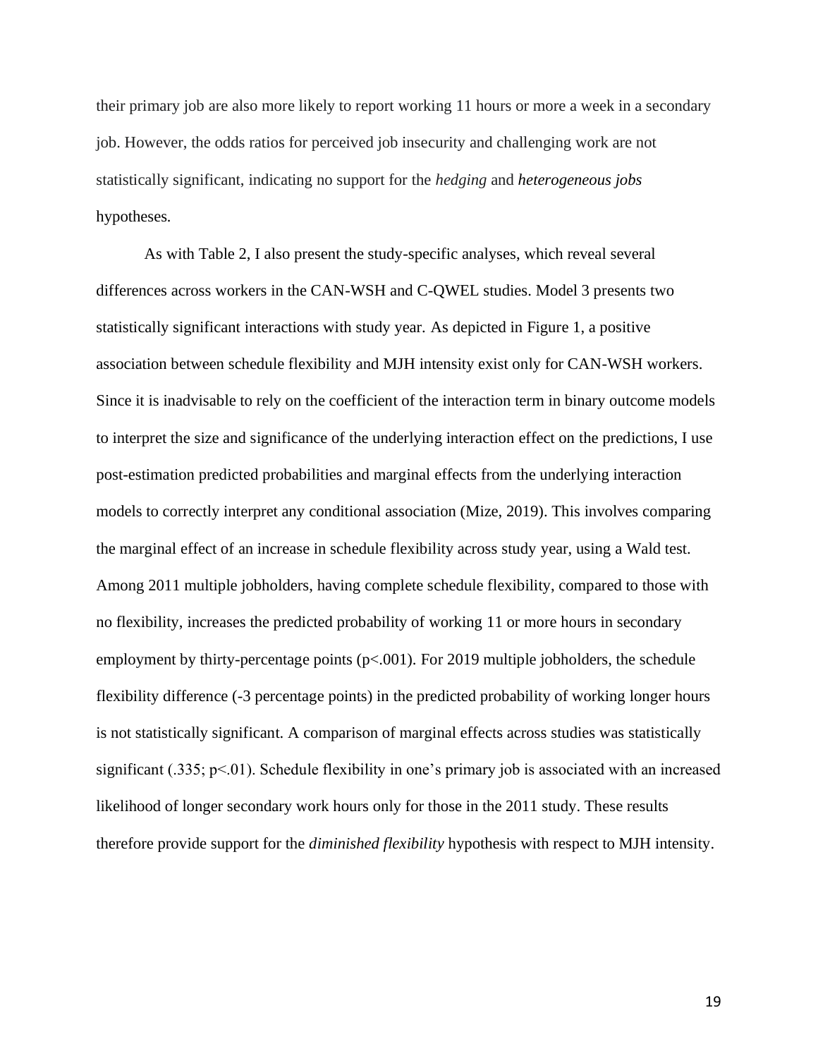their primary job are also more likely to report working 11 hours or more a week in a secondary job. However, the odds ratios for perceived job insecurity and challenging work are not statistically significant, indicating no support for the *hedging* and *heterogeneous jobs* hypotheses*.*

As with Table 2, I also present the study-specific analyses, which reveal several differences across workers in the CAN-WSH and C-QWEL studies. Model 3 presents two statistically significant interactions with study year. As depicted in Figure 1, a positive association between schedule flexibility and MJH intensity exist only for CAN-WSH workers. Since it is inadvisable to rely on the coefficient of the interaction term in binary outcome models to interpret the size and significance of the underlying interaction effect on the predictions, I use post-estimation predicted probabilities and marginal effects from the underlying interaction models to correctly interpret any conditional association (Mize, 2019). This involves comparing the marginal effect of an increase in schedule flexibility across study year, using a Wald test. Among 2011 multiple jobholders, having complete schedule flexibility, compared to those with no flexibility, increases the predicted probability of working 11 or more hours in secondary employment by thirty-percentage points  $(p< .001)$ . For 2019 multiple jobholders, the schedule flexibility difference (-3 percentage points) in the predicted probability of working longer hours is not statistically significant. A comparison of marginal effects across studies was statistically significant (.335; p<.01). Schedule flexibility in one's primary job is associated with an increased likelihood of longer secondary work hours only for those in the 2011 study. These results therefore provide support for the *diminished flexibility* hypothesis with respect to MJH intensity.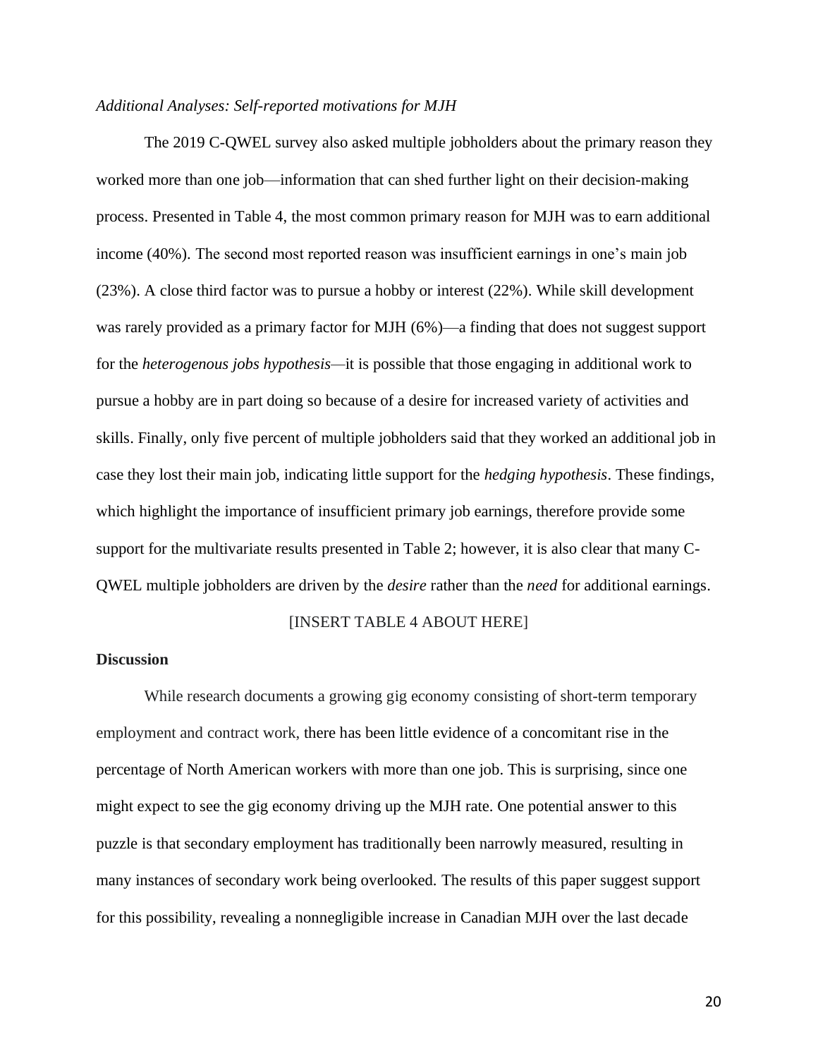### *Additional Analyses: Self-reported motivations for MJH*

The 2019 C-QWEL survey also asked multiple jobholders about the primary reason they worked more than one job—information that can shed further light on their decision-making process. Presented in Table 4, the most common primary reason for MJH was to earn additional income (40%). The second most reported reason was insufficient earnings in one's main job (23%). A close third factor was to pursue a hobby or interest (22%). While skill development was rarely provided as a primary factor for MJH (6%)—a finding that does not suggest support for the *heterogenous jobs hypothesis—*it is possible that those engaging in additional work to pursue a hobby are in part doing so because of a desire for increased variety of activities and skills. Finally, only five percent of multiple jobholders said that they worked an additional job in case they lost their main job, indicating little support for the *hedging hypothesis*. These findings, which highlight the importance of insufficient primary job earnings, therefore provide some support for the multivariate results presented in Table 2; however, it is also clear that many C-QWEL multiple jobholders are driven by the *desire* rather than the *need* for additional earnings.

#### [INSERT TABLE 4 ABOUT HERE]

#### **Discussion**

While research documents a growing gig economy consisting of short-term temporary employment and contract work, there has been little evidence of a concomitant rise in the percentage of North American workers with more than one job. This is surprising, since one might expect to see the gig economy driving up the MJH rate. One potential answer to this puzzle is that secondary employment has traditionally been narrowly measured, resulting in many instances of secondary work being overlooked. The results of this paper suggest support for this possibility, revealing a nonnegligible increase in Canadian MJH over the last decade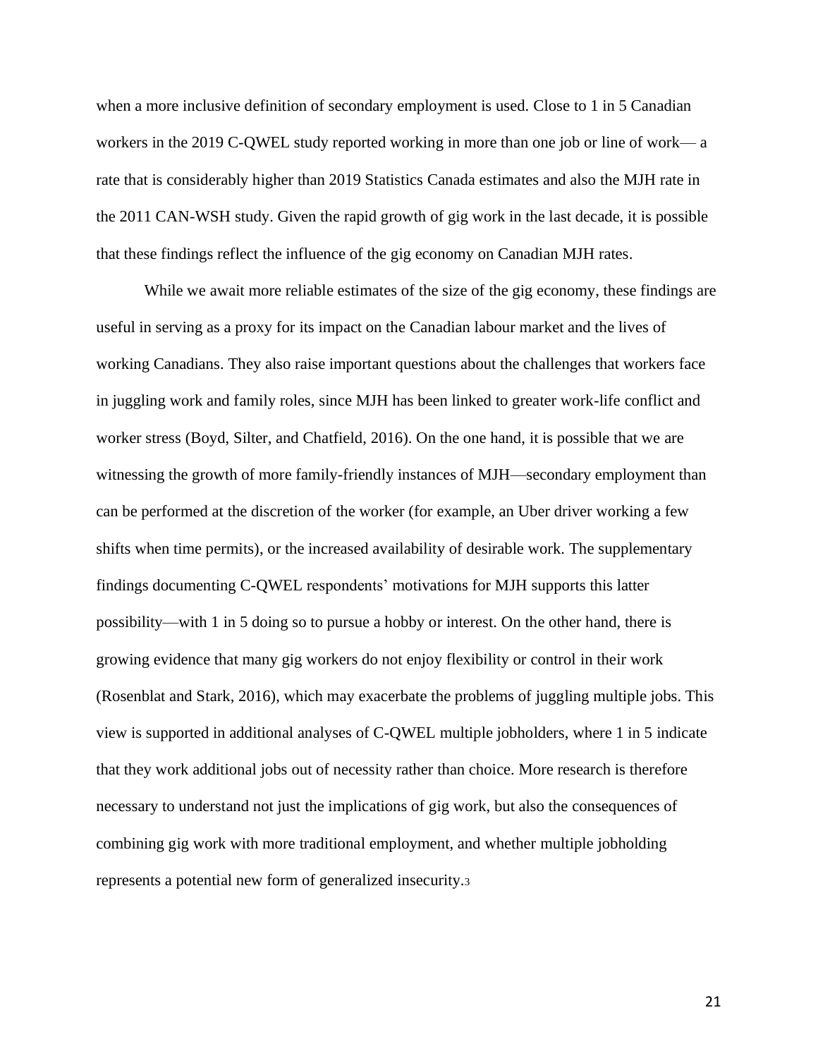when a more inclusive definition of secondary employment is used. Close to 1 in 5 Canadian workers in the 2019 C-QWEL study reported working in more than one job or line of work— a rate that is considerably higher than 2019 Statistics Canada estimates and also the MJH rate in the 2011 CAN-WSH study. Given the rapid growth of gig work in the last decade, it is possible that these findings reflect the influence of the gig economy on Canadian MJH rates.

While we await more reliable estimates of the size of the gig economy, these findings are useful in serving as a proxy for its impact on the Canadian labour market and the lives of working Canadians. They also raise important questions about the challenges that workers face in juggling work and family roles, since MJH has been linked to greater work-life conflict and worker stress (Boyd, Silter, and Chatfield, 2016). On the one hand, it is possible that we are witnessing the growth of more family-friendly instances of MJH—secondary employment than can be performed at the discretion of the worker (for example, an Uber driver working a few shifts when time permits), or the increased availability of desirable work. The supplementary findings documenting C-QWEL respondents' motivations for MJH supports this latter possibility—with 1 in 5 doing so to pursue a hobby or interest. On the other hand, there is growing evidence that many gig workers do not enjoy flexibility or control in their work (Rosenblat and Stark, 2016), which may exacerbate the problems of juggling multiple jobs. This view is supported in additional analyses of C-QWEL multiple jobholders, where 1 in 5 indicate that they work additional jobs out of necessity rather than choice. More research is therefore necessary to understand not just the implications of gig work, but also the consequences of combining gig work with more traditional employment, and whether multiple jobholding represents a potential new form of generalized insecurity.<sup>3</sup>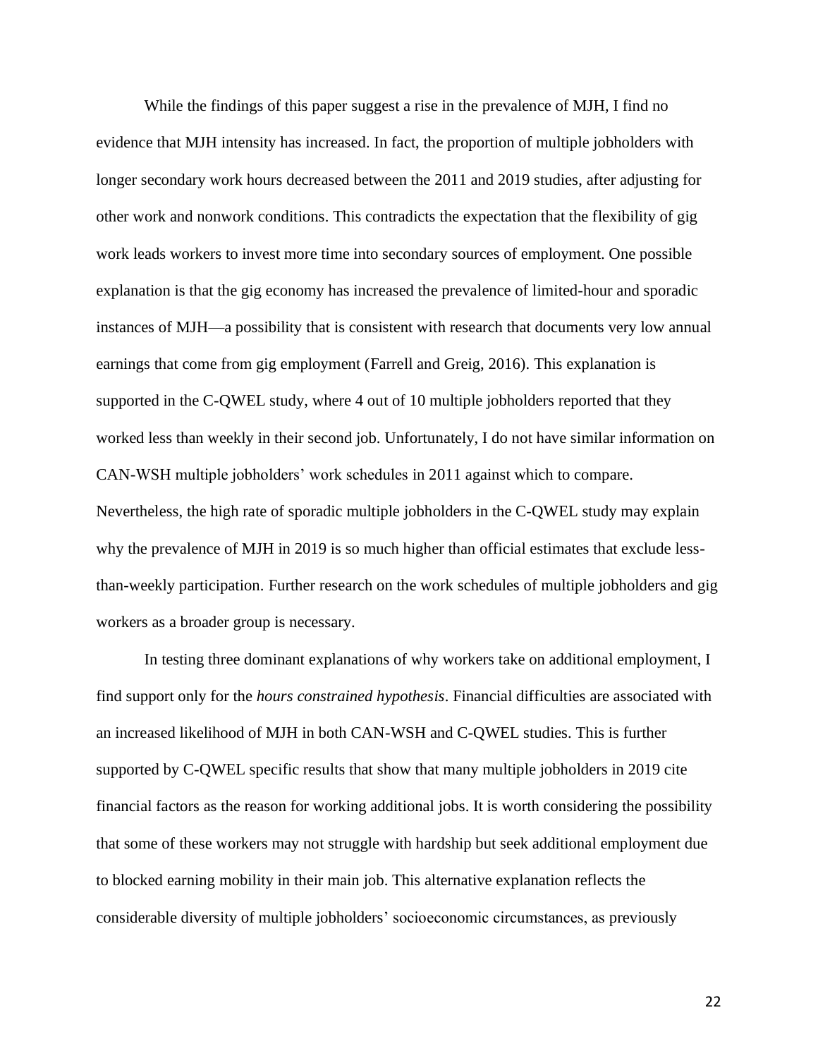While the findings of this paper suggest a rise in the prevalence of MJH, I find no evidence that MJH intensity has increased. In fact, the proportion of multiple jobholders with longer secondary work hours decreased between the 2011 and 2019 studies, after adjusting for other work and nonwork conditions. This contradicts the expectation that the flexibility of gig work leads workers to invest more time into secondary sources of employment. One possible explanation is that the gig economy has increased the prevalence of limited-hour and sporadic instances of MJH—a possibility that is consistent with research that documents very low annual earnings that come from gig employment (Farrell and Greig, 2016). This explanation is supported in the C-QWEL study, where 4 out of 10 multiple jobholders reported that they worked less than weekly in their second job. Unfortunately, I do not have similar information on CAN-WSH multiple jobholders' work schedules in 2011 against which to compare. Nevertheless, the high rate of sporadic multiple jobholders in the C-QWEL study may explain why the prevalence of MJH in 2019 is so much higher than official estimates that exclude lessthan-weekly participation. Further research on the work schedules of multiple jobholders and gig workers as a broader group is necessary.

In testing three dominant explanations of why workers take on additional employment, I find support only for the *hours constrained hypothesis*. Financial difficulties are associated with an increased likelihood of MJH in both CAN-WSH and C-QWEL studies. This is further supported by C-QWEL specific results that show that many multiple jobholders in 2019 cite financial factors as the reason for working additional jobs. It is worth considering the possibility that some of these workers may not struggle with hardship but seek additional employment due to blocked earning mobility in their main job. This alternative explanation reflects the considerable diversity of multiple jobholders' socioeconomic circumstances, as previously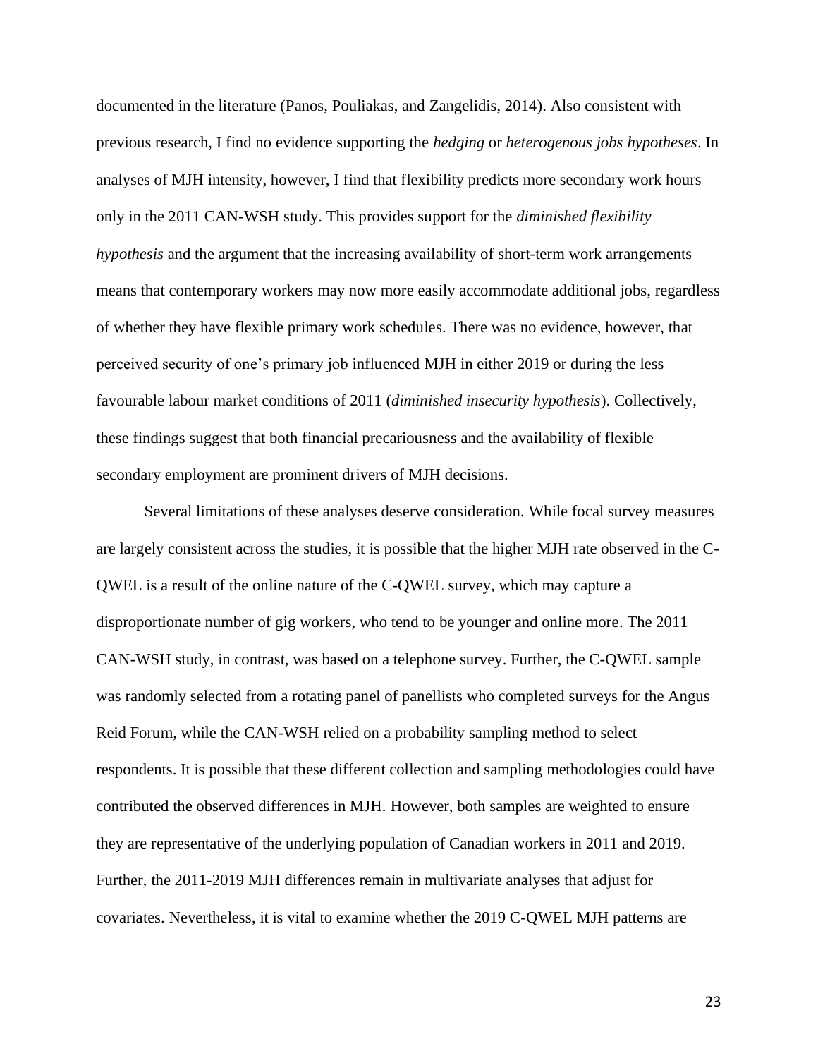documented in the literature (Panos, Pouliakas, and Zangelidis, 2014). Also consistent with previous research, I find no evidence supporting the *hedging* or *heterogenous jobs hypotheses*. In analyses of MJH intensity, however, I find that flexibility predicts more secondary work hours only in the 2011 CAN-WSH study. This provides support for the *diminished flexibility hypothesis* and the argument that the increasing availability of short-term work arrangements means that contemporary workers may now more easily accommodate additional jobs, regardless of whether they have flexible primary work schedules. There was no evidence, however, that perceived security of one's primary job influenced MJH in either 2019 or during the less favourable labour market conditions of 2011 (*diminished insecurity hypothesis*). Collectively, these findings suggest that both financial precariousness and the availability of flexible secondary employment are prominent drivers of MJH decisions.

Several limitations of these analyses deserve consideration. While focal survey measures are largely consistent across the studies, it is possible that the higher MJH rate observed in the C-QWEL is a result of the online nature of the C-QWEL survey, which may capture a disproportionate number of gig workers, who tend to be younger and online more. The 2011 CAN-WSH study, in contrast, was based on a telephone survey. Further, the C-QWEL sample was randomly selected from a rotating panel of panellists who completed surveys for the Angus Reid Forum, while the CAN-WSH relied on a probability sampling method to select respondents. It is possible that these different collection and sampling methodologies could have contributed the observed differences in MJH. However, both samples are weighted to ensure they are representative of the underlying population of Canadian workers in 2011 and 2019. Further, the 2011-2019 MJH differences remain in multivariate analyses that adjust for covariates. Nevertheless, it is vital to examine whether the 2019 C-QWEL MJH patterns are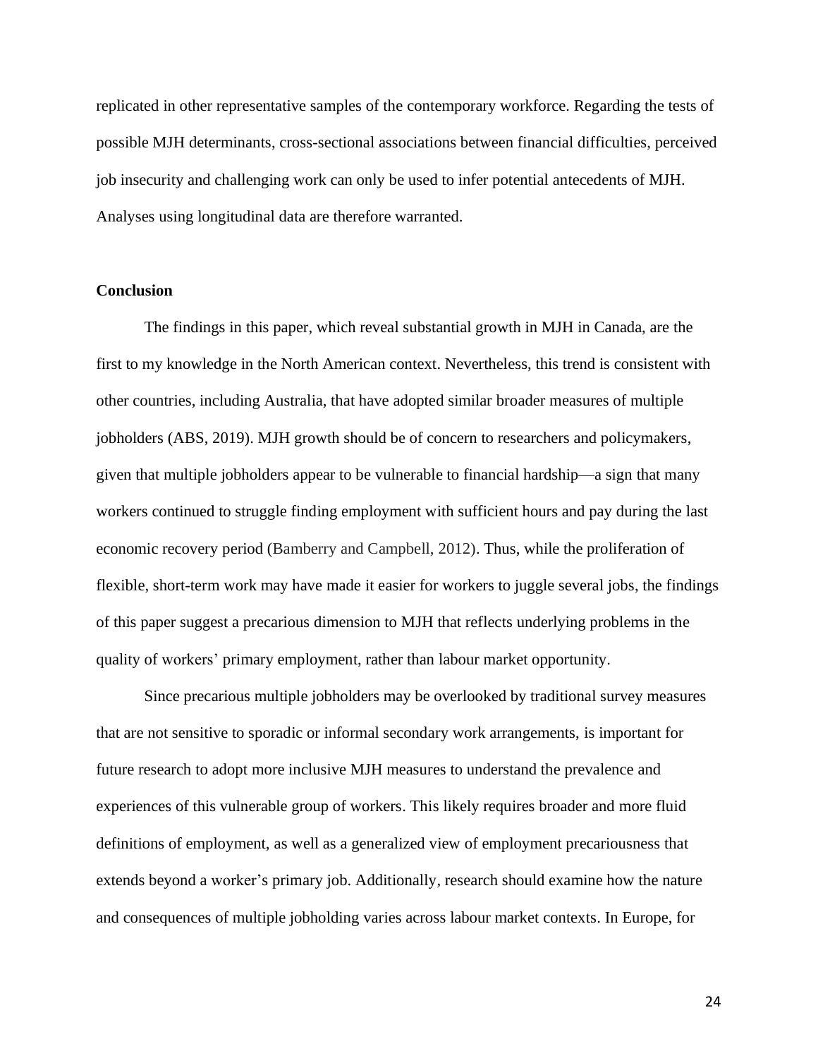replicated in other representative samples of the contemporary workforce. Regarding the tests of possible MJH determinants, cross-sectional associations between financial difficulties, perceived job insecurity and challenging work can only be used to infer potential antecedents of MJH. Analyses using longitudinal data are therefore warranted.

#### **Conclusion**

The findings in this paper, which reveal substantial growth in MJH in Canada, are the first to my knowledge in the North American context. Nevertheless, this trend is consistent with other countries, including Australia, that have adopted similar broader measures of multiple jobholders (ABS, 2019). MJH growth should be of concern to researchers and policymakers, given that multiple jobholders appear to be vulnerable to financial hardship—a sign that many workers continued to struggle finding employment with sufficient hours and pay during the last economic recovery period (Bamberry and Campbell, 2012). Thus, while the proliferation of flexible, short-term work may have made it easier for workers to juggle several jobs, the findings of this paper suggest a precarious dimension to MJH that reflects underlying problems in the quality of workers' primary employment, rather than labour market opportunity.

Since precarious multiple jobholders may be overlooked by traditional survey measures that are not sensitive to sporadic or informal secondary work arrangements, is important for future research to adopt more inclusive MJH measures to understand the prevalence and experiences of this vulnerable group of workers. This likely requires broader and more fluid definitions of employment, as well as a generalized view of employment precariousness that extends beyond a worker's primary job. Additionally, research should examine how the nature and consequences of multiple jobholding varies across labour market contexts. In Europe, for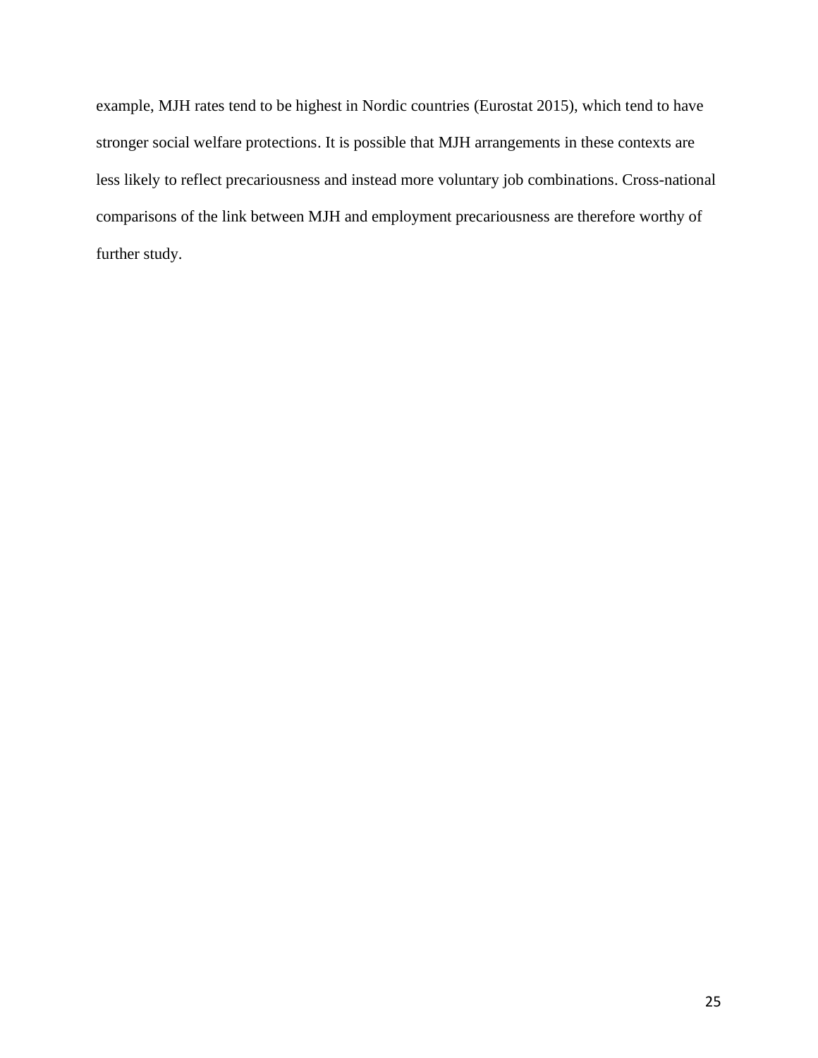example, MJH rates tend to be highest in Nordic countries (Eurostat 2015), which tend to have stronger social welfare protections. It is possible that MJH arrangements in these contexts are less likely to reflect precariousness and instead more voluntary job combinations. Cross-national comparisons of the link between MJH and employment precariousness are therefore worthy of further study.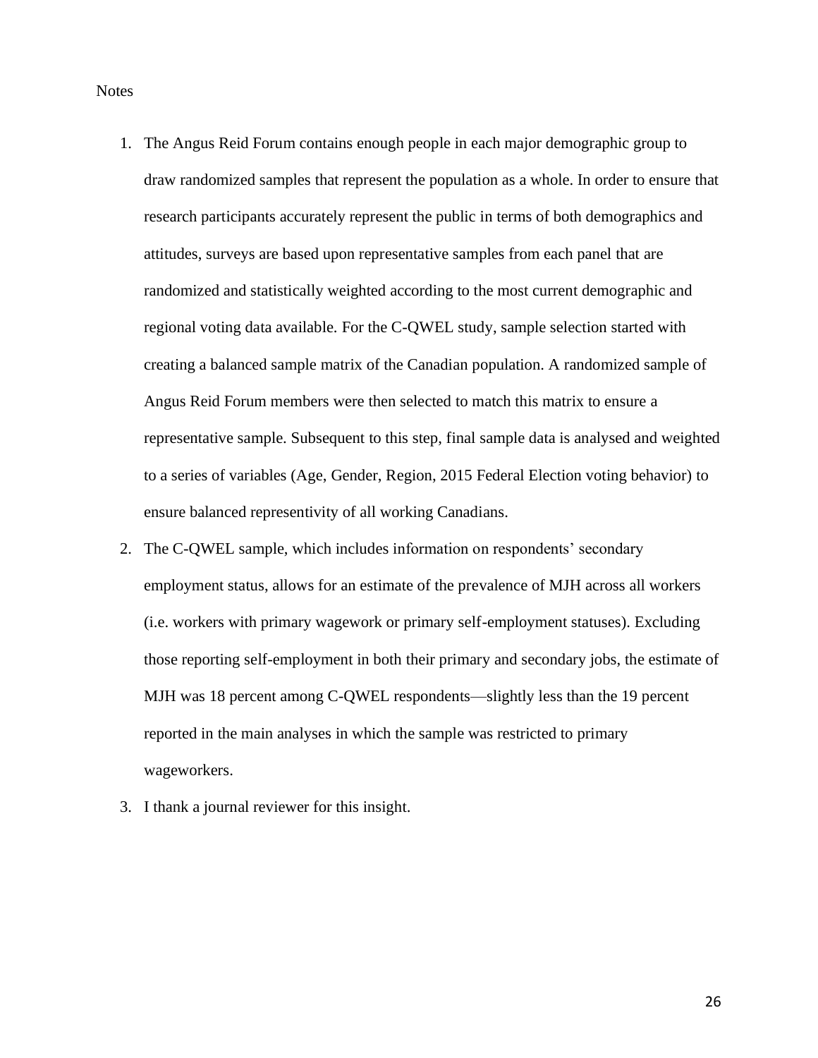**Notes** 

- 1. The Angus Reid Forum contains enough people in each major demographic group to draw randomized samples that represent the population as a whole. In order to ensure that research participants accurately represent the public in terms of both demographics and attitudes, surveys are based upon representative samples from each panel that are randomized and statistically weighted according to the most current demographic and regional voting data available. For the C-QWEL study, sample selection started with creating a balanced sample matrix of the Canadian population. A randomized sample of Angus Reid Forum members were then selected to match this matrix to ensure a representative sample. Subsequent to this step, final sample data is analysed and weighted to a series of variables (Age, Gender, Region, 2015 Federal Election voting behavior) to ensure balanced representivity of all working Canadians.
- 2. The C-QWEL sample, which includes information on respondents' secondary employment status, allows for an estimate of the prevalence of MJH across all workers (i.e. workers with primary wagework or primary self-employment statuses). Excluding those reporting self-employment in both their primary and secondary jobs, the estimate of MJH was 18 percent among C-QWEL respondents—slightly less than the 19 percent reported in the main analyses in which the sample was restricted to primary wageworkers.
- 3. I thank a journal reviewer for this insight.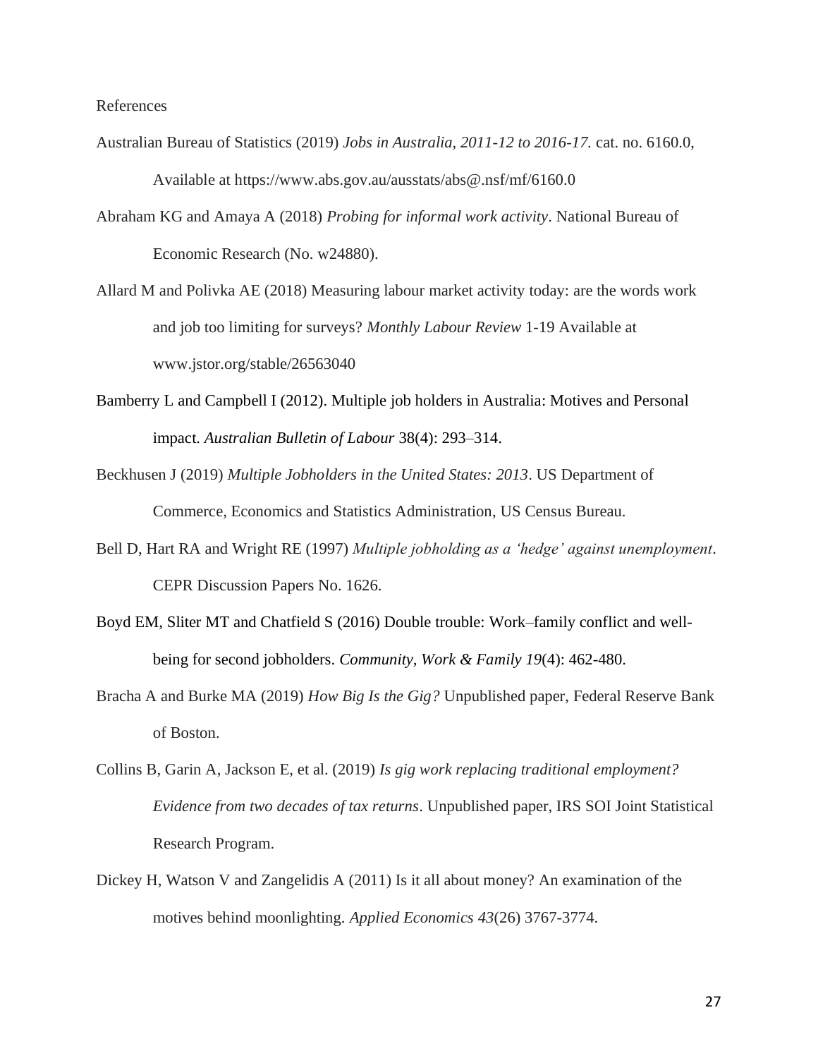References

- Australian Bureau of Statistics (2019) *Jobs in Australia, 2011-12 to 2016-17.* cat. no. 6160.0, Available at https://www.abs.gov.au/ausstats/abs@.nsf/mf/6160.0
- Abraham KG and Amaya A (2018) *Probing for informal work activity*. National Bureau of Economic Research (No. w24880).
- Allard M and Polivka AE (2018) Measuring labour market activity today: are the words work and job too limiting for surveys? *Monthly Labour Review* 1-19 Available at www.jstor.org/stable/26563040
- Bamberry L and Campbell I (2012). Multiple job holders in Australia: Motives and Personal impact. *Australian Bulletin of Labour* 38(4): 293–314.
- Beckhusen J (2019) *Multiple Jobholders in the United States: 2013*. US Department of Commerce, Economics and Statistics Administration, US Census Bureau.
- Bell D, Hart RA and Wright RE (1997) *Multiple jobholding as a 'hedge' against unemployment*. CEPR Discussion Papers No. 1626.
- Boyd EM, Sliter MT and Chatfield S (2016) Double trouble: Work–family conflict and wellbeing for second jobholders. *Community, Work & Family 19*(4): 462-480.
- Bracha A and Burke MA (2019) *How Big Is the Gig?* Unpublished paper, Federal Reserve Bank of Boston.
- Collins B, Garin A, Jackson E, et al. (2019) *Is gig work replacing traditional employment? Evidence from two decades of tax returns*. Unpublished paper, IRS SOI Joint Statistical Research Program.
- Dickey H, Watson V and Zangelidis A (2011) Is it all about money? An examination of the motives behind moonlighting. *Applied Economics 43*(26) 3767-3774.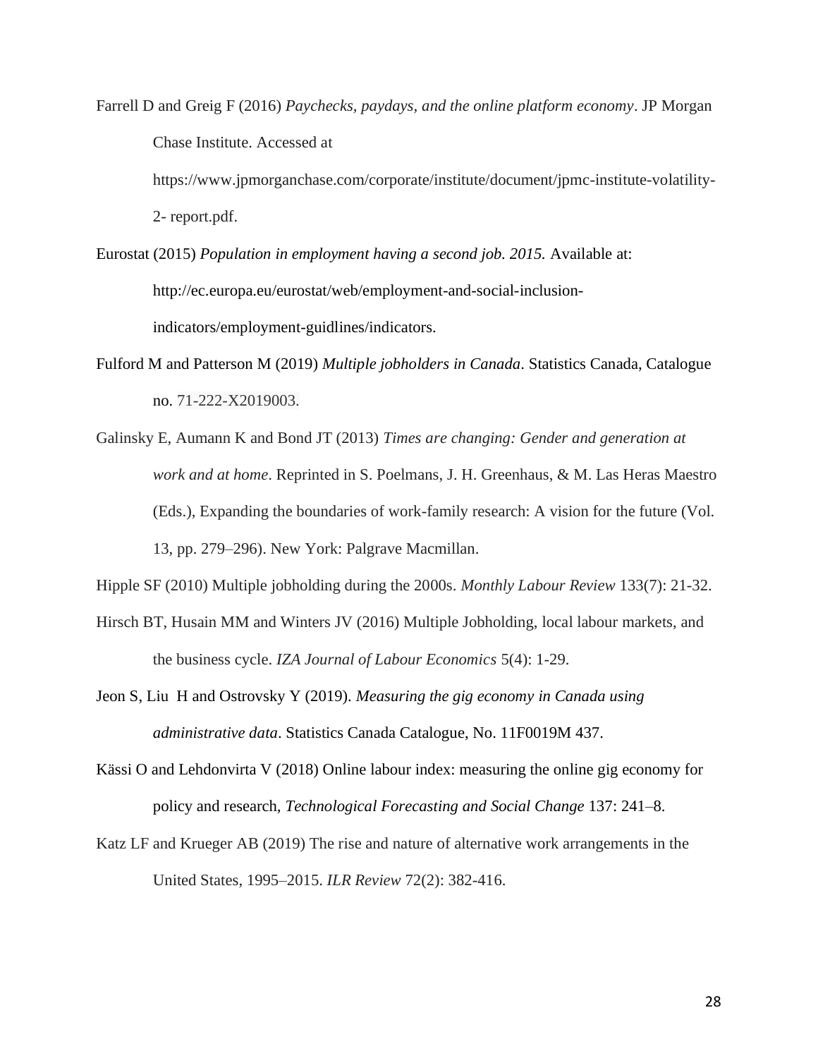Farrell D and Greig F (2016) *Paychecks, paydays, and the online platform economy*. JP Morgan Chase Institute. Accessed at https://www.jpmorganchase.com/corporate/institute/document/jpmc-institute-volatility-

2- report.pdf.

- Eurostat (2015) *Population in employment having a second job. 2015.* Available at: http://ec.europa.eu/eurostat/web/employment-and-social-inclusionindicators/employment-guidlines/indicators.
- Fulford M and Patterson M (2019) *Multiple jobholders in Canada*. Statistics Canada, Catalogue no. 71-222-X2019003.
- Galinsky E, Aumann K and Bond JT (2013) *Times are changing: Gender and generation at work and at home*. Reprinted in S. Poelmans, J. H. Greenhaus, & M. Las Heras Maestro (Eds.), Expanding the boundaries of work-family research: A vision for the future (Vol. 13, pp. 279–296). New York: Palgrave Macmillan.

Hipple SF (2010) Multiple jobholding during the 2000s. *Monthly Labour Review* 133(7): 21-32.

- Hirsch BT, Husain MM and Winters JV (2016) Multiple Jobholding, local labour markets, and the business cycle. *IZA Journal of Labour Economics* 5(4): 1-29.
- Jeon S, Liu H and Ostrovsky Y (2019). *Measuring the gig economy in Canada using administrative data*. Statistics Canada Catalogue, No. 11F0019M 437.
- Kässi O and Lehdonvirta V (2018) Online labour index: measuring the online gig economy for policy and research, *Technological Forecasting and Social Change* 137: 241–8.
- Katz LF and Krueger AB (2019) The rise and nature of alternative work arrangements in the United States, 1995–2015. *ILR Review* 72(2): 382-416.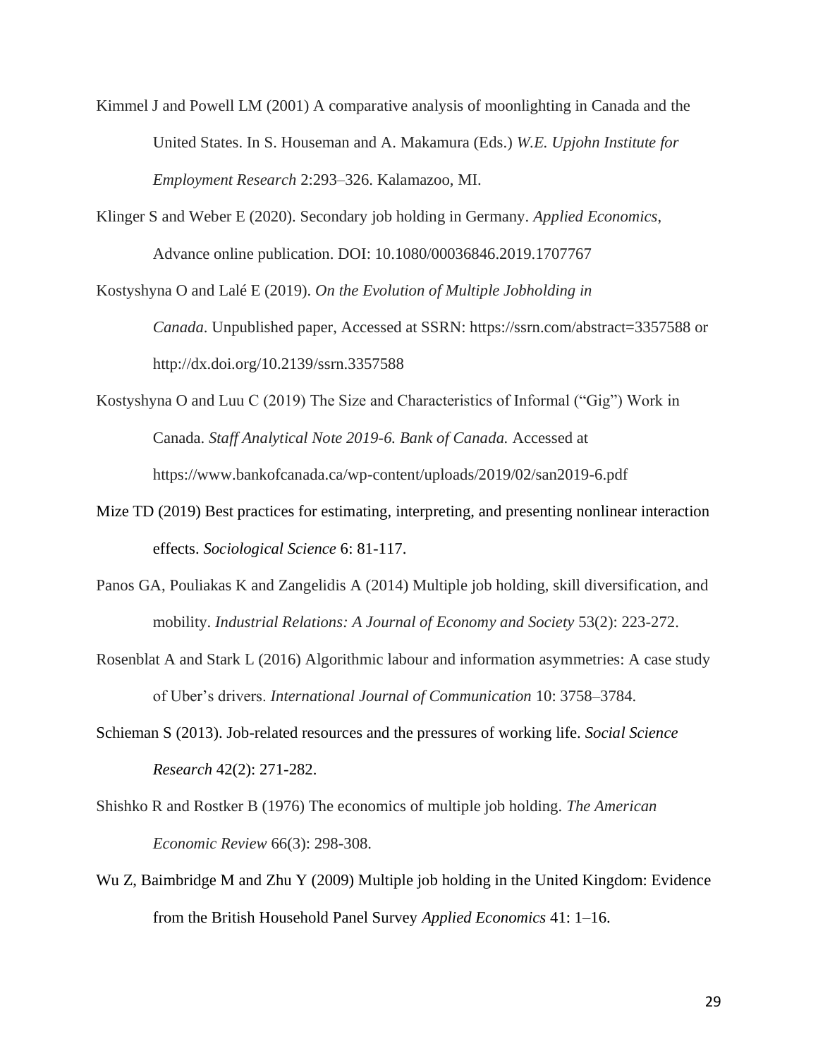- Kimmel J and Powell LM (2001) A comparative analysis of moonlighting in Canada and the United States. In S. Houseman and A. Makamura (Eds.) *W.E. Upjohn Institute for Employment Research* 2:293–326. Kalamazoo, MI.
- Klinger S and Weber E (2020). Secondary job holding in Germany. *Applied Economics*, Advance online publication. DOI: 10.1080/00036846.2019.1707767

Kostyshyna O and Lalé E (2019). *On the Evolution of Multiple Jobholding in* 

*Canada*. Unpublished paper, Accessed at SSRN: https://ssrn.com/abstract=3357588 or http://dx.doi.org/10.2139/ssrn.3357588

Kostyshyna O and Luu C (2019) The Size and Characteristics of Informal ("Gig") Work in Canada. *Staff Analytical Note 2019-6. Bank of Canada.* Accessed at https://www.bankofcanada.ca/wp-content/uploads/2019/02/san2019-6.pdf

- Mize TD (2019) Best practices for estimating, interpreting, and presenting nonlinear interaction effects. *Sociological Science* 6: 81-117.
- Panos GA, Pouliakas K and Zangelidis A (2014) Multiple job holding, skill diversification, and mobility. *Industrial Relations: A Journal of Economy and Society* 53(2): 223-272.
- Rosenblat A and Stark L (2016) Algorithmic labour and information asymmetries: A case study of Uber's drivers. *International Journal of Communication* 10: 3758–3784.
- Schieman S (2013). Job-related resources and the pressures of working life. *Social Science Research* 42(2): 271-282.
- Shishko R and Rostker B (1976) The economics of multiple job holding. *The American Economic Review* 66(3): 298-308.
- Wu Z, Baimbridge M and Zhu Y (2009) Multiple job holding in the United Kingdom: Evidence from the British Household Panel Survey *Applied Economics* 41: 1–16.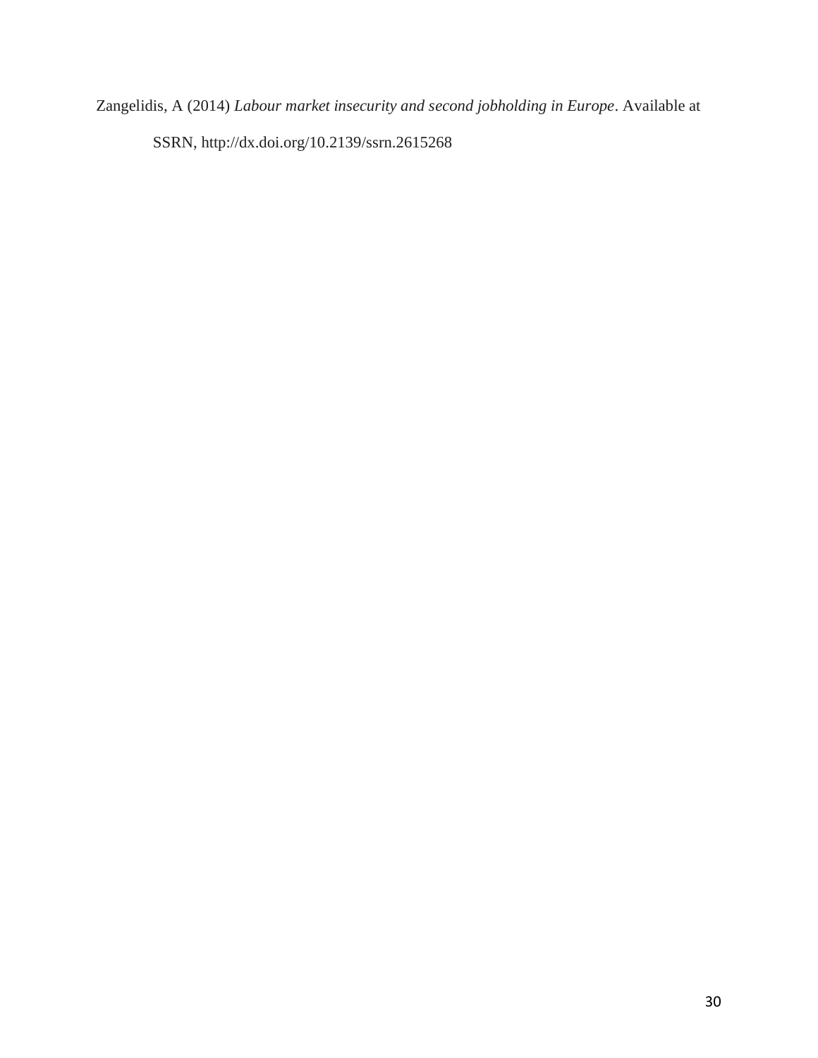Zangelidis, A (2014) *Labour market insecurity and second jobholding in Europe*. Available at SSRN, http://dx.doi.org/10.2139/ssrn.2615268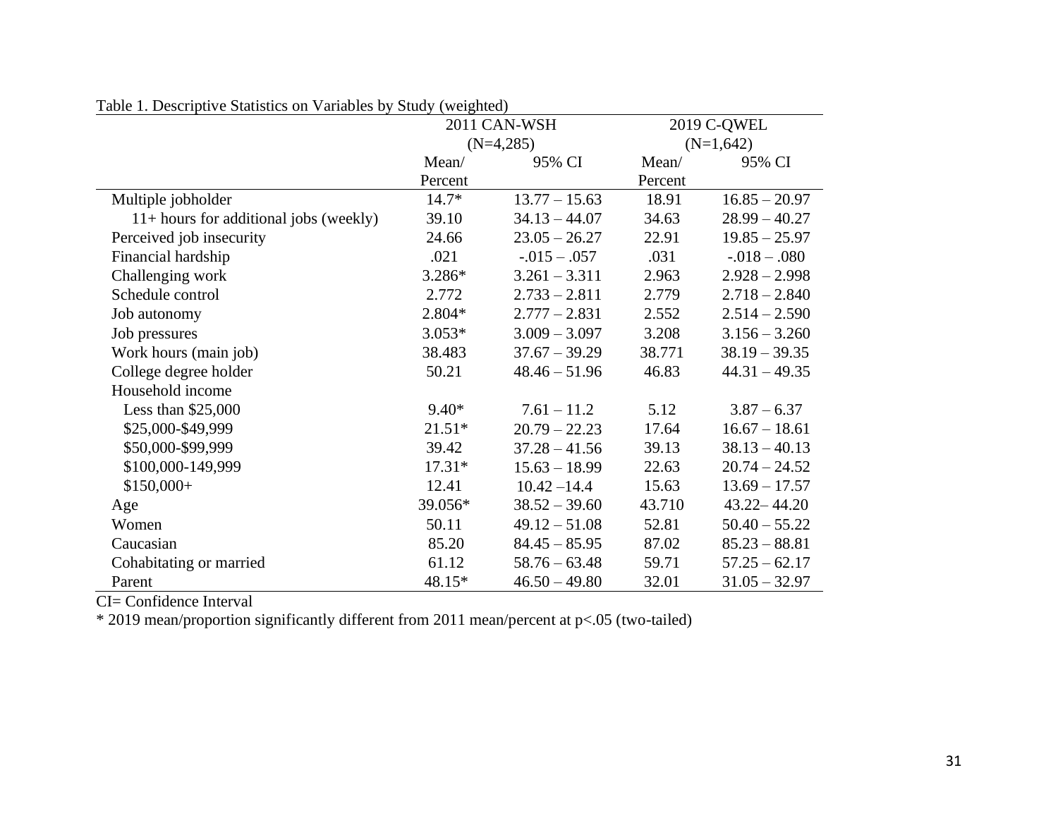|                                          | 2011 CAN-WSH |                  | 2019 C-QWEL |                  |  |
|------------------------------------------|--------------|------------------|-------------|------------------|--|
|                                          |              | $(N=4,285)$      |             | $(N=1,642)$      |  |
|                                          | Mean/        | 95% CI           | Mean/       | 95% CI           |  |
|                                          | Percent      |                  | Percent     |                  |  |
| Multiple jobholder                       | $14.7*$      | $13.77 - 15.63$  | 18.91       | $16.85 - 20.97$  |  |
| $11+$ hours for additional jobs (weekly) | 39.10        | $34.13 - 44.07$  | 34.63       | $28.99 - 40.27$  |  |
| Perceived job insecurity                 | 24.66        | $23.05 - 26.27$  | 22.91       | $19.85 - 25.97$  |  |
| Financial hardship                       | .021         | $-0.015 - 0.057$ | .031        | $-0.018 - 0.080$ |  |
| Challenging work                         | $3.286*$     | $3.261 - 3.311$  | 2.963       | $2.928 - 2.998$  |  |
| Schedule control                         | 2.772        | $2.733 - 2.811$  | 2.779       | $2.718 - 2.840$  |  |
| Job autonomy                             | $2.804*$     | $2.777 - 2.831$  | 2.552       | $2.514 - 2.590$  |  |
| Job pressures                            | $3.053*$     | $3.009 - 3.097$  | 3.208       | $3.156 - 3.260$  |  |
| Work hours (main job)                    | 38.483       | $37.67 - 39.29$  | 38.771      | $38.19 - 39.35$  |  |
| College degree holder                    | 50.21        | $48.46 - 51.96$  | 46.83       | $44.31 - 49.35$  |  |
| Household income                         |              |                  |             |                  |  |
| Less than $$25,000$                      | $9.40*$      | $7.61 - 11.2$    | 5.12        | $3.87 - 6.37$    |  |
| \$25,000-\$49,999                        | $21.51*$     | $20.79 - 22.23$  | 17.64       | $16.67 - 18.61$  |  |
| \$50,000-\$99,999                        | 39.42        | $37.28 - 41.56$  | 39.13       | $38.13 - 40.13$  |  |
| \$100,000-149,999                        | $17.31*$     | $15.63 - 18.99$  | 22.63       | $20.74 - 24.52$  |  |
| $$150,000+$                              | 12.41        | $10.42 - 14.4$   | 15.63       | $13.69 - 17.57$  |  |
| Age                                      | 39.056*      | $38.52 - 39.60$  | 43.710      | $43.22 - 44.20$  |  |
| Women                                    | 50.11        | $49.12 - 51.08$  | 52.81       | $50.40 - 55.22$  |  |
| Caucasian                                | 85.20        | $84.45 - 85.95$  | 87.02       | $85.23 - 88.81$  |  |
| Cohabitating or married                  | 61.12        | $58.76 - 63.48$  | 59.71       | $57.25 - 62.17$  |  |
| Parent                                   | 48.15*       | $46.50 - 49.80$  | 32.01       | $31.05 - 32.97$  |  |

Table 1. Descriptive Statistics on Variables by Study (weighted)

CI= Confidence Interval

\* 2019 mean/proportion significantly different from 2011 mean/percent at p<.05 (two-tailed)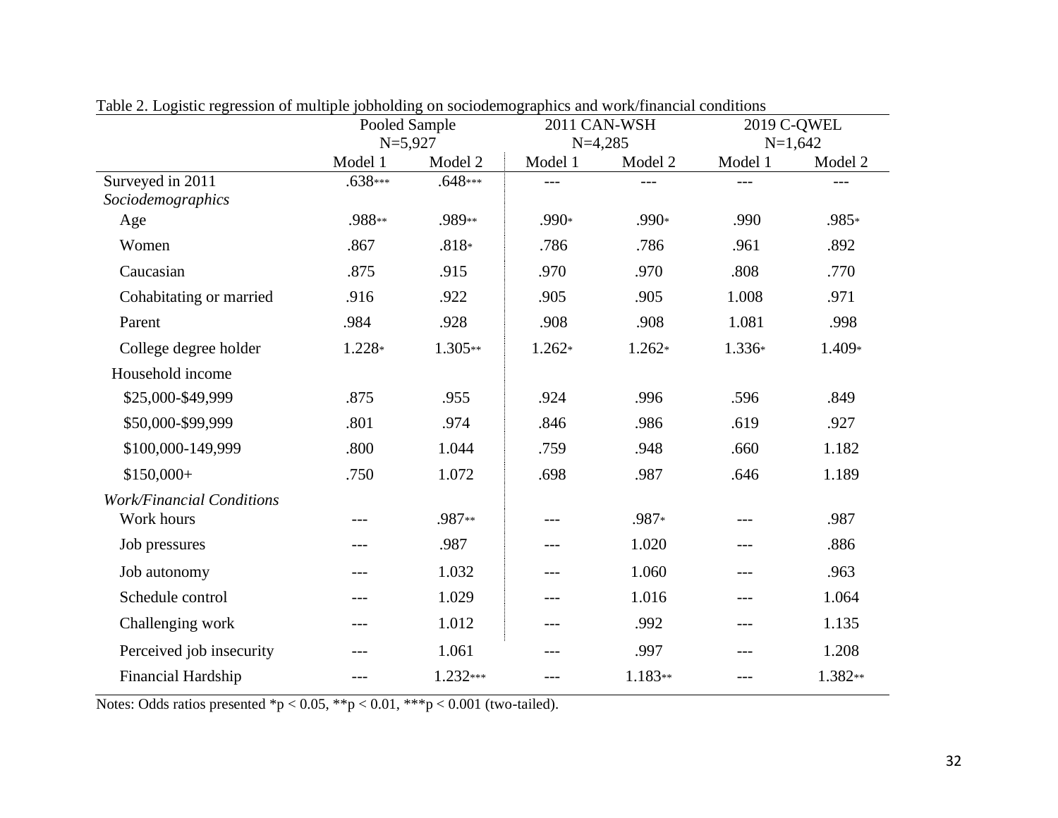|                                                | able 2. Eventual regression of managic polioitung on socioutinographics and work manufacture conditions<br>Pooled Sample |           | 2011 CAN-WSH                    |          | 2019 C-QWEL |                      |
|------------------------------------------------|--------------------------------------------------------------------------------------------------------------------------|-----------|---------------------------------|----------|-------------|----------------------|
|                                                | $N=5,927$<br>Model 1                                                                                                     | Model 2   | $N=4,285$<br>Model 1<br>Model 2 |          | Model 1     | $N=1,642$<br>Model 2 |
| Surveyed in 2011<br>Sociodemographics          | $.638***$                                                                                                                | $.648***$ | ---                             | ---      | ---         | ---                  |
| Age                                            | .988**                                                                                                                   | .989**    | .990*                           | .990*    | .990        | .985*                |
| Women                                          | .867                                                                                                                     | $.818*$   | .786                            | .786     | .961        | .892                 |
| Caucasian                                      | .875                                                                                                                     | .915      | .970                            | .970     | .808        | .770                 |
| Cohabitating or married                        | .916                                                                                                                     | .922      | .905                            | .905     | 1.008       | .971                 |
| Parent                                         | .984                                                                                                                     | .928      | .908                            | .908     | 1.081       | .998                 |
| College degree holder                          | 1.228*                                                                                                                   | 1.305**   | $1.262*$                        | $1.262*$ | 1.336*      | 1.409*               |
| Household income                               |                                                                                                                          |           |                                 |          |             |                      |
| \$25,000-\$49,999                              | .875                                                                                                                     | .955      | .924                            | .996     | .596        | .849                 |
| \$50,000-\$99,999                              | .801                                                                                                                     | .974      | .846                            | .986     | .619        | .927                 |
| \$100,000-149,999                              | .800                                                                                                                     | 1.044     | .759                            | .948     | .660        | 1.182                |
| $$150,000+$                                    | .750                                                                                                                     | 1.072     | .698                            | .987     | .646        | 1.189                |
| <b>Work/Financial Conditions</b><br>Work hours | $---$                                                                                                                    | .987**    |                                 | .987*    |             | .987                 |
| Job pressures                                  | $---$                                                                                                                    | .987      | $---$                           | 1.020    | $---$       | .886                 |
| Job autonomy                                   | $---$                                                                                                                    | 1.032     | $---$                           | 1.060    | ---         | .963                 |
| Schedule control                               | $---$                                                                                                                    | 1.029     | ---                             | 1.016    | $---$       | 1.064                |
| Challenging work                               | $---$                                                                                                                    | 1.012     | $---$                           | .992     | $ -$        | 1.135                |
| Perceived job insecurity                       |                                                                                                                          | 1.061     |                                 | .997     |             | 1.208                |
| Financial Hardship                             | $---$                                                                                                                    | 1.232***  | ---                             | 1.183**  | $---$       | 1.382**              |

Table 2. Logistic regression of multiple jobholding on sociodemographics and work/financial conditions

Notes: Odds ratios presented \*p < 0.05, \*\*p < 0.01, \*\*\*p < 0.001 (two-tailed).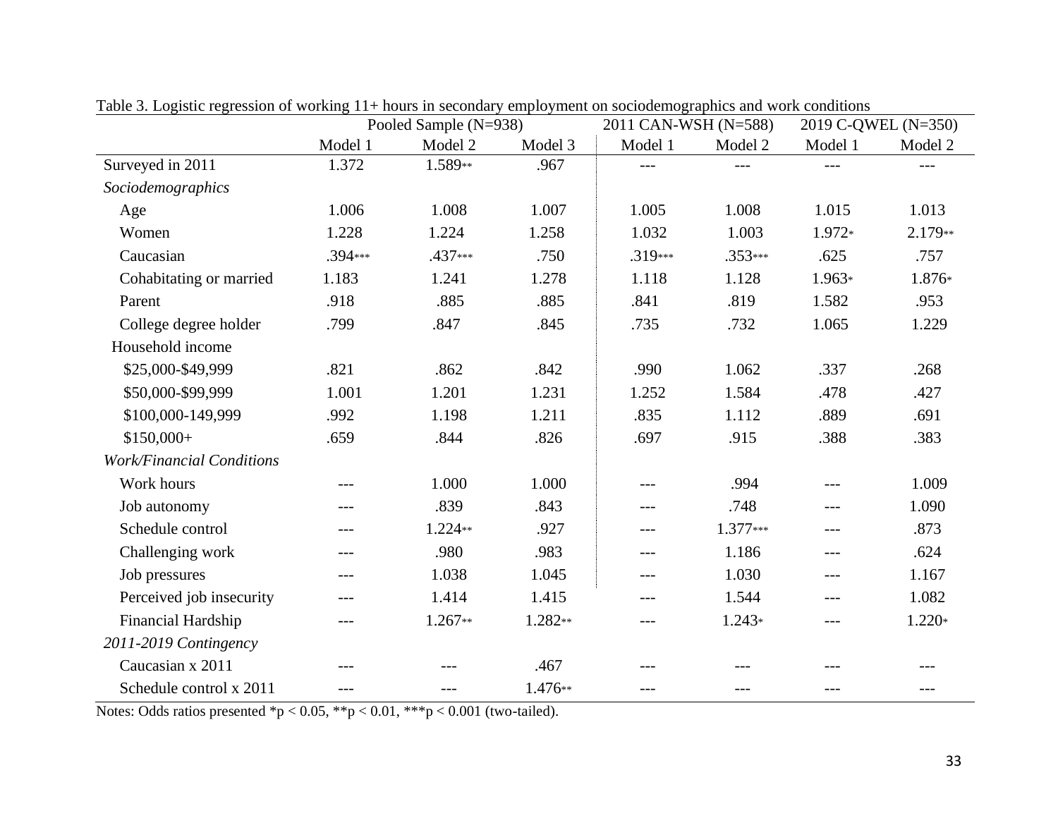|                                  | able 5. Logistic regression of working 11+ hours in secondary employment on socious mographics and work conditions<br>Pooled Sample (N=938) |           | 2011 CAN-WSH (N=588) |         | 2019 C-QWEL (N=350) |          |          |
|----------------------------------|---------------------------------------------------------------------------------------------------------------------------------------------|-----------|----------------------|---------|---------------------|----------|----------|
|                                  | Model 1                                                                                                                                     | Model 2   | Model 3              | Model 1 | Model 2             | Model 1  | Model 2  |
| Surveyed in 2011                 | 1.372                                                                                                                                       | 1.589**   | .967                 |         |                     |          |          |
| Sociodemographics                |                                                                                                                                             |           |                      |         |                     |          |          |
| Age                              | 1.006                                                                                                                                       | 1.008     | 1.007                | 1.005   | 1.008               | 1.015    | 1.013    |
| Women                            | 1.228                                                                                                                                       | 1.224     | 1.258                | 1.032   | 1.003               | 1.972*   | 2.179**  |
| Caucasian                        | .394***                                                                                                                                     | .437***   | .750                 | .319*** | .353***             | .625     | .757     |
| Cohabitating or married          | 1.183                                                                                                                                       | 1.241     | 1.278                | 1.118   | 1.128               | $1.963*$ | 1.876*   |
| Parent                           | .918                                                                                                                                        | .885      | .885                 | .841    | .819                | 1.582    | .953     |
| College degree holder            | .799                                                                                                                                        | .847      | .845                 | .735    | .732                | 1.065    | 1.229    |
| Household income                 |                                                                                                                                             |           |                      |         |                     |          |          |
| \$25,000-\$49,999                | .821                                                                                                                                        | .862      | .842                 | .990    | 1.062               | .337     | .268     |
| \$50,000-\$99,999                | 1.001                                                                                                                                       | 1.201     | 1.231                | 1.252   | 1.584               | .478     | .427     |
| \$100,000-149,999                | .992                                                                                                                                        | 1.198     | 1.211                | .835    | 1.112               | .889     | .691     |
| $$150,000+$                      | .659                                                                                                                                        | .844      | .826                 | .697    | .915                | .388     | .383     |
| <b>Work/Financial Conditions</b> |                                                                                                                                             |           |                      |         |                     |          |          |
| Work hours                       | $---$                                                                                                                                       | 1.000     | 1.000                | $---$   | .994                | $---$    | 1.009    |
| Job autonomy                     | ---                                                                                                                                         | .839      | .843                 | ---     | .748                | $---$    | 1.090    |
| Schedule control                 | ---                                                                                                                                         | 1.224**   | .927                 | $---$   | $1.377***$          | $---$    | .873     |
| Challenging work                 | ---                                                                                                                                         | .980      | .983                 | ---     | 1.186               | ---      | .624     |
| Job pressures                    | ---                                                                                                                                         | 1.038     | 1.045                | $---$   | 1.030               | $---$    | 1.167    |
| Perceived job insecurity         | ---                                                                                                                                         | 1.414     | 1.415                | ---     | 1.544               | $---$    | 1.082    |
| Financial Hardship               | $---$                                                                                                                                       | $1.267**$ | 1.282**              | $---$   | $1.243*$            | $---$    | $1.220*$ |
| 2011-2019 Contingency            |                                                                                                                                             |           |                      |         |                     |          |          |
| Caucasian x 2011                 | ---                                                                                                                                         |           | .467                 |         |                     |          |          |
| Schedule control x 2011          | ---                                                                                                                                         | ---       | 1.476**              |         |                     | ---      | ---      |

Table 3. Logistic regression of working 11+ hours in secondary employment on sociodemographics and work conditions

Notes: Odds ratios presented \*p < 0.05, \*\*p < 0.01, \*\*\*p < 0.001 (two-tailed).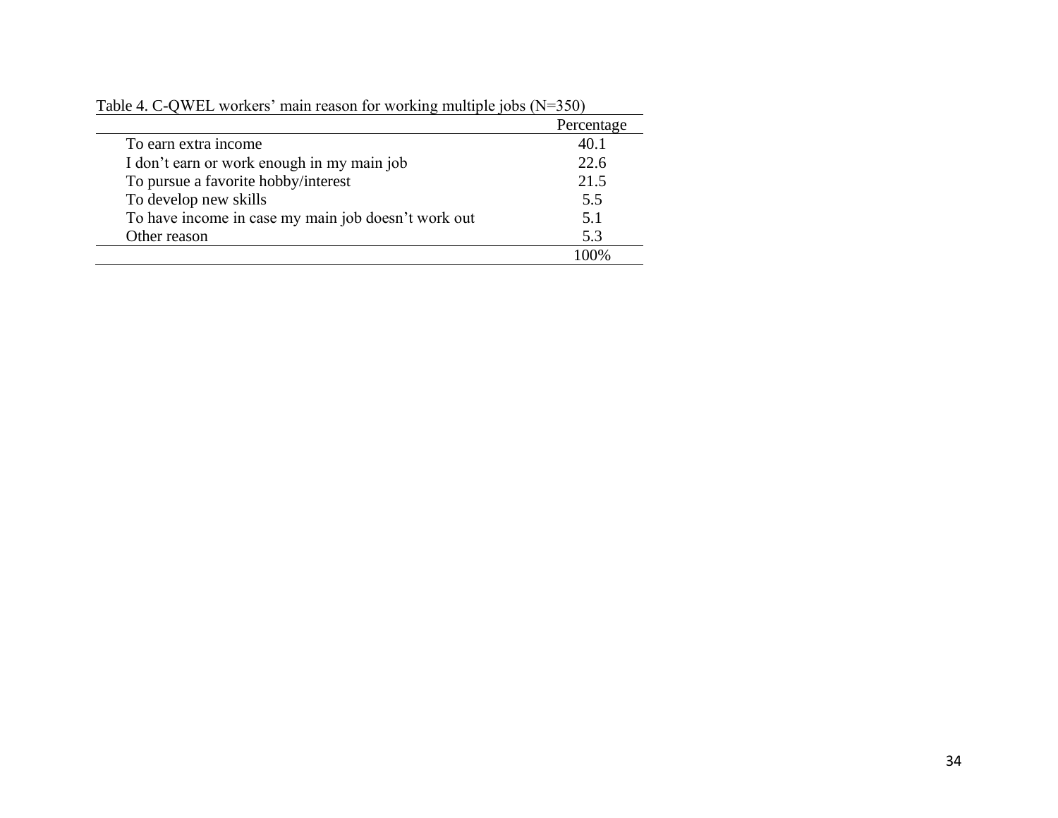|                                                     | Percentage |
|-----------------------------------------------------|------------|
| To earn extra income                                | 40.1       |
| I don't earn or work enough in my main job          | 22.6       |
| To pursue a favorite hobby/interest                 | 21.5       |
| To develop new skills                               | 5.5        |
| To have income in case my main job doesn't work out | 5.1        |
| Other reason                                        | 5.3        |
|                                                     | $100\%$    |

Table 4. C-QWEL workers' main reason for working multiple jobs (N=350)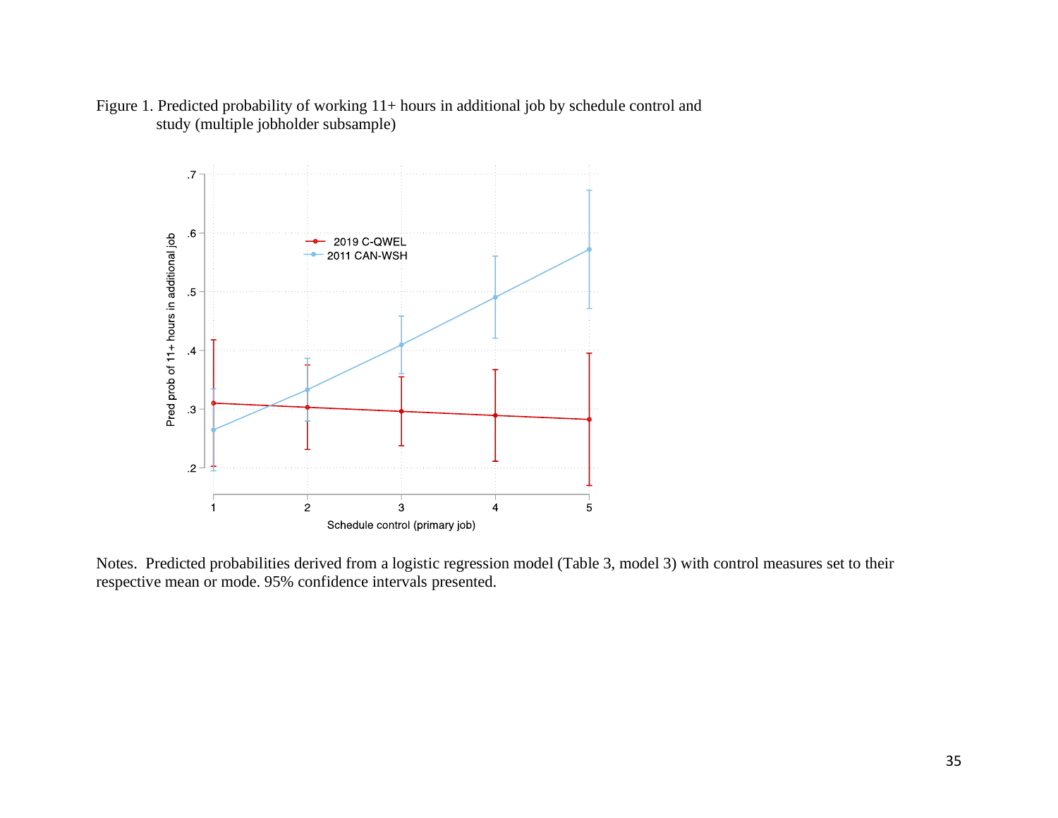

Figure 1. Predicted probability of working  $11+$  hours in additional job by schedule control and study (multiple jobholder subsample)

Notes. Predicted probabilities derived from a logistic regression model (Table 3, model 3) with control measures set to their respective mean or mode. 95% confidence intervals presented.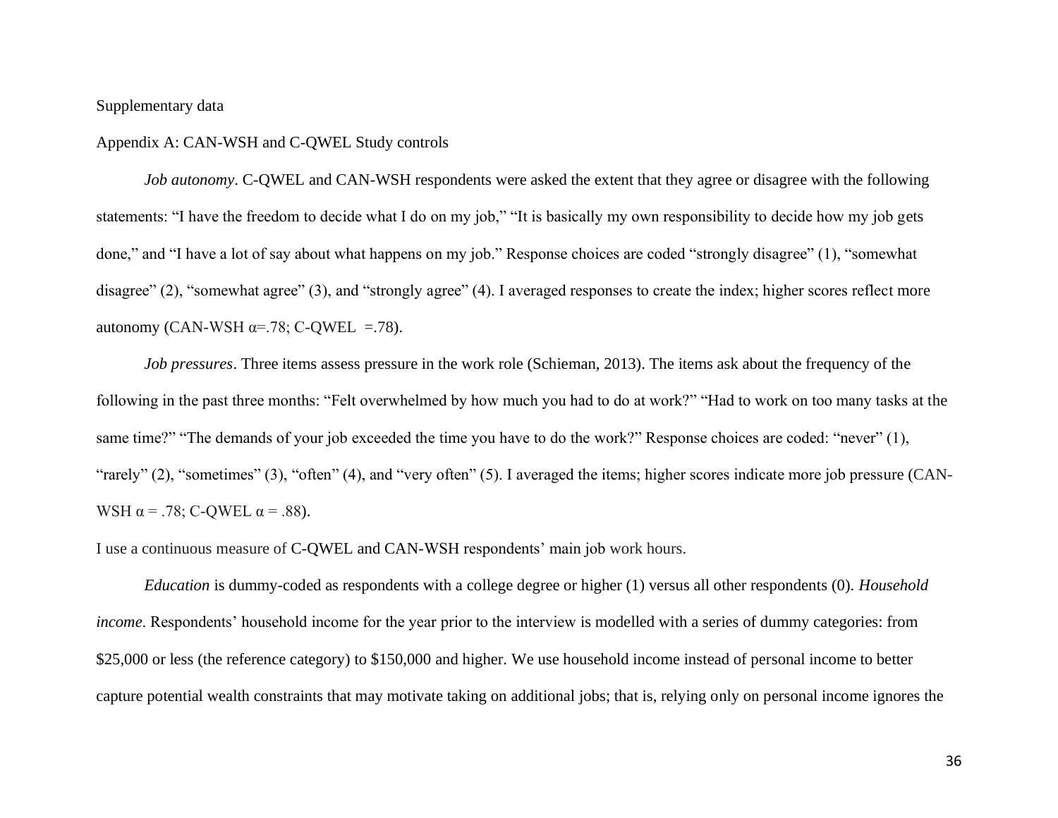## Supplementary data

#### Appendix A: CAN-WSH and C-QWEL Study controls

*Job autonomy*. C-QWEL and CAN-WSH respondents were asked the extent that they agree or disagree with the following statements: "I have the freedom to decide what I do on my job," "It is basically my own responsibility to decide how my job gets done," and "I have a lot of say about what happens on my job." Response choices are coded "strongly disagree" (1), "somewhat disagree" (2), "somewhat agree" (3), and "strongly agree" (4). I averaged responses to create the index; higher scores reflect more autonomy (CAN-WSH α=.78; C-QWEL =.78).

*Job pressures*. Three items assess pressure in the work role (Schieman, 2013). The items ask about the frequency of the following in the past three months: "Felt overwhelmed by how much you had to do at work?" "Had to work on too many tasks at the same time?" "The demands of your job exceeded the time you have to do the work?" Response choices are coded: "never" (1), "rarely" (2), "sometimes" (3), "often" (4), and "very often" (5). I averaged the items; higher scores indicate more job pressure (CAN-WSH  $\alpha$  = .78; C-QWEL  $\alpha$  = .88).

I use a continuous measure of C-QWEL and CAN-WSH respondents' main job work hours.

*Education* is dummy-coded as respondents with a college degree or higher (1) versus all other respondents (0). *Household income*. Respondents' household income for the year prior to the interview is modelled with a series of dummy categories: from \$25,000 or less (the reference category) to \$150,000 and higher. We use household income instead of personal income to better capture potential wealth constraints that may motivate taking on additional jobs; that is, relying only on personal income ignores the